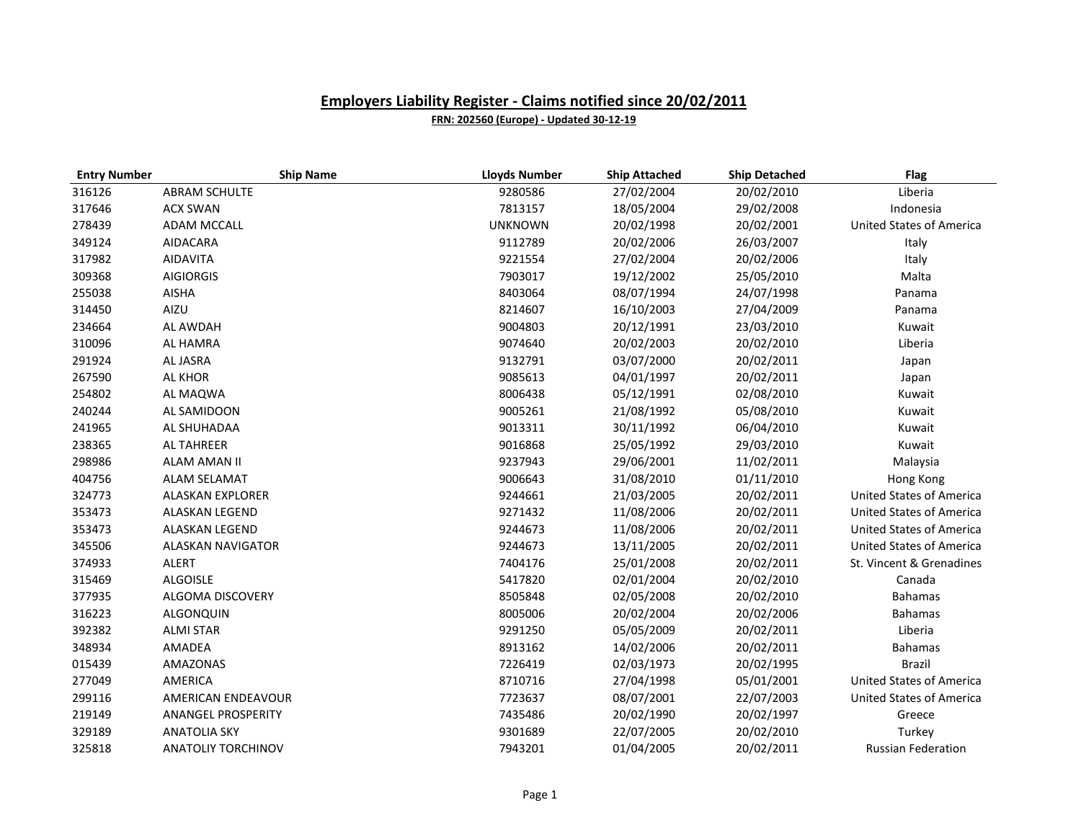| <b>Entry Number</b> | <b>Ship Name</b>          | <b>Lloyds Number</b> | <b>Ship Attached</b> | <b>Ship Detached</b> | <b>Flag</b>                     |
|---------------------|---------------------------|----------------------|----------------------|----------------------|---------------------------------|
| 316126              | <b>ABRAM SCHULTE</b>      | 9280586              | 27/02/2004           | 20/02/2010           | Liberia                         |
| 317646              | <b>ACX SWAN</b>           | 7813157              | 18/05/2004           | 29/02/2008           | Indonesia                       |
| 278439              | <b>ADAM MCCALL</b>        | <b>UNKNOWN</b>       | 20/02/1998           | 20/02/2001           | <b>United States of America</b> |
| 349124              | AIDACARA                  | 9112789              | 20/02/2006           | 26/03/2007           | Italy                           |
| 317982              | <b>AIDAVITA</b>           | 9221554              | 27/02/2004           | 20/02/2006           | Italy                           |
| 309368              | <b>AIGIORGIS</b>          | 7903017              | 19/12/2002           | 25/05/2010           | Malta                           |
| 255038              | <b>AISHA</b>              | 8403064              | 08/07/1994           | 24/07/1998           | Panama                          |
| 314450              | AIZU                      | 8214607              | 16/10/2003           | 27/04/2009           | Panama                          |
| 234664              | AL AWDAH                  | 9004803              | 20/12/1991           | 23/03/2010           | Kuwait                          |
| 310096              | AL HAMRA                  | 9074640              | 20/02/2003           | 20/02/2010           | Liberia                         |
| 291924              | AL JASRA                  | 9132791              | 03/07/2000           | 20/02/2011           | Japan                           |
| 267590              | <b>AL KHOR</b>            | 9085613              | 04/01/1997           | 20/02/2011           | Japan                           |
| 254802              | AL MAQWA                  | 8006438              | 05/12/1991           | 02/08/2010           | Kuwait                          |
| 240244              | AL SAMIDOON               | 9005261              | 21/08/1992           | 05/08/2010           | Kuwait                          |
| 241965              | AL SHUHADAA               | 9013311              | 30/11/1992           | 06/04/2010           | Kuwait                          |
| 238365              | <b>AL TAHREER</b>         | 9016868              | 25/05/1992           | 29/03/2010           | Kuwait                          |
| 298986              | <b>ALAM AMAN II</b>       | 9237943              | 29/06/2001           | 11/02/2011           | Malaysia                        |
| 404756              | ALAM SELAMAT              | 9006643              | 31/08/2010           | 01/11/2010           | Hong Kong                       |
| 324773              | <b>ALASKAN EXPLORER</b>   | 9244661              | 21/03/2005           | 20/02/2011           | <b>United States of America</b> |
| 353473              | ALASKAN LEGEND            | 9271432              | 11/08/2006           | 20/02/2011           | <b>United States of America</b> |
| 353473              | ALASKAN LEGEND            | 9244673              | 11/08/2006           | 20/02/2011           | <b>United States of America</b> |
| 345506              | <b>ALASKAN NAVIGATOR</b>  | 9244673              | 13/11/2005           | 20/02/2011           | <b>United States of America</b> |
| 374933              | ALERT                     | 7404176              | 25/01/2008           | 20/02/2011           | St. Vincent & Grenadines        |
| 315469              | <b>ALGOISLE</b>           | 5417820              | 02/01/2004           | 20/02/2010           | Canada                          |
| 377935              | ALGOMA DISCOVERY          | 8505848              | 02/05/2008           | 20/02/2010           | <b>Bahamas</b>                  |
| 316223              | ALGONQUIN                 | 8005006              | 20/02/2004           | 20/02/2006           | <b>Bahamas</b>                  |
| 392382              | <b>ALMI STAR</b>          | 9291250              | 05/05/2009           | 20/02/2011           | Liberia                         |
| 348934              | AMADEA                    | 8913162              | 14/02/2006           | 20/02/2011           | <b>Bahamas</b>                  |
| 015439              | AMAZONAS                  | 7226419              | 02/03/1973           | 20/02/1995           | <b>Brazil</b>                   |
| 277049              | AMERICA                   | 8710716              | 27/04/1998           | 05/01/2001           | <b>United States of America</b> |
| 299116              | AMERICAN ENDEAVOUR        | 7723637              | 08/07/2001           | 22/07/2003           | United States of America        |
| 219149              | <b>ANANGEL PROSPERITY</b> | 7435486              | 20/02/1990           | 20/02/1997           | Greece                          |
| 329189              | <b>ANATOLIA SKY</b>       | 9301689              | 22/07/2005           | 20/02/2010           | Turkey                          |
| 325818              | <b>ANATOLIY TORCHINOV</b> | 7943201              | 01/04/2005           | 20/02/2011           | <b>Russian Federation</b>       |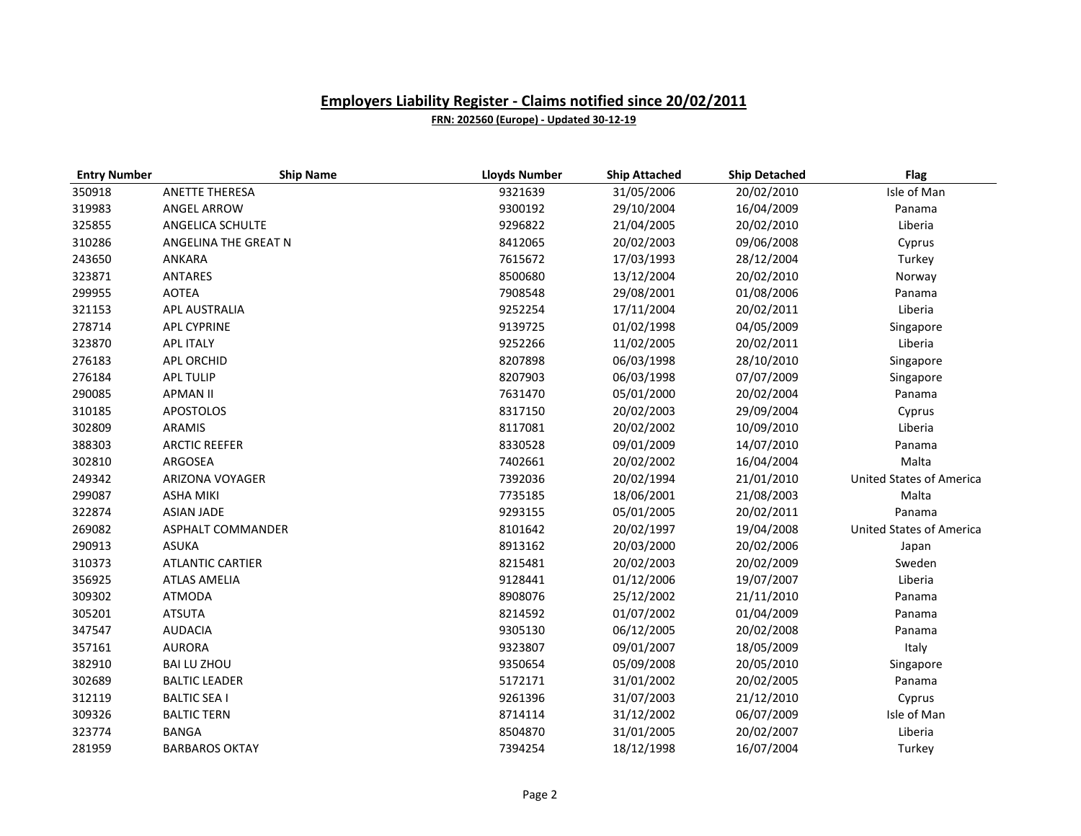| <b>Entry Number</b> | <b>Ship Name</b>        | <b>Lloyds Number</b> | <b>Ship Attached</b> | <b>Ship Detached</b> | <b>Flag</b>                     |
|---------------------|-------------------------|----------------------|----------------------|----------------------|---------------------------------|
| 350918              | <b>ANETTE THERESA</b>   | 9321639              | 31/05/2006           | 20/02/2010           | Isle of Man                     |
| 319983              | ANGEL ARROW             | 9300192              | 29/10/2004           | 16/04/2009           | Panama                          |
| 325855              | ANGELICA SCHULTE        | 9296822              | 21/04/2005           | 20/02/2010           | Liberia                         |
| 310286              | ANGELINA THE GREAT N    | 8412065              | 20/02/2003           | 09/06/2008           | Cyprus                          |
| 243650              | ANKARA                  | 7615672              | 17/03/1993           | 28/12/2004           | Turkey                          |
| 323871              | <b>ANTARES</b>          | 8500680              | 13/12/2004           | 20/02/2010           | Norway                          |
| 299955              | <b>AOTEA</b>            | 7908548              | 29/08/2001           | 01/08/2006           | Panama                          |
| 321153              | APL AUSTRALIA           | 9252254              | 17/11/2004           | 20/02/2011           | Liberia                         |
| 278714              | <b>APL CYPRINE</b>      | 9139725              | 01/02/1998           | 04/05/2009           | Singapore                       |
| 323870              | <b>APL ITALY</b>        | 9252266              | 11/02/2005           | 20/02/2011           | Liberia                         |
| 276183              | APL ORCHID              | 8207898              | 06/03/1998           | 28/10/2010           | Singapore                       |
| 276184              | <b>APL TULIP</b>        | 8207903              | 06/03/1998           | 07/07/2009           | Singapore                       |
| 290085              | <b>APMAN II</b>         | 7631470              | 05/01/2000           | 20/02/2004           | Panama                          |
| 310185              | <b>APOSTOLOS</b>        | 8317150              | 20/02/2003           | 29/09/2004           | Cyprus                          |
| 302809              | ARAMIS                  | 8117081              | 20/02/2002           | 10/09/2010           | Liberia                         |
| 388303              | <b>ARCTIC REEFER</b>    | 8330528              | 09/01/2009           | 14/07/2010           | Panama                          |
| 302810              | ARGOSEA                 | 7402661              | 20/02/2002           | 16/04/2004           | Malta                           |
| 249342              | ARIZONA VOYAGER         | 7392036              | 20/02/1994           | 21/01/2010           | <b>United States of America</b> |
| 299087              | <b>ASHA MIKI</b>        | 7735185              | 18/06/2001           | 21/08/2003           | Malta                           |
| 322874              | <b>ASIAN JADE</b>       | 9293155              | 05/01/2005           | 20/02/2011           | Panama                          |
| 269082              | ASPHALT COMMANDER       | 8101642              | 20/02/1997           | 19/04/2008           | <b>United States of America</b> |
| 290913              | <b>ASUKA</b>            | 8913162              | 20/03/2000           | 20/02/2006           | Japan                           |
| 310373              | <b>ATLANTIC CARTIER</b> | 8215481              | 20/02/2003           | 20/02/2009           | Sweden                          |
| 356925              | <b>ATLAS AMELIA</b>     | 9128441              | 01/12/2006           | 19/07/2007           | Liberia                         |
| 309302              | ATMODA                  | 8908076              | 25/12/2002           | 21/11/2010           | Panama                          |
| 305201              | <b>ATSUTA</b>           | 8214592              | 01/07/2002           | 01/04/2009           | Panama                          |
| 347547              | <b>AUDACIA</b>          | 9305130              | 06/12/2005           | 20/02/2008           | Panama                          |
| 357161              | <b>AURORA</b>           | 9323807              | 09/01/2007           | 18/05/2009           | Italy                           |
| 382910              | <b>BAI LU ZHOU</b>      | 9350654              | 05/09/2008           | 20/05/2010           | Singapore                       |
| 302689              | <b>BALTIC LEADER</b>    | 5172171              | 31/01/2002           | 20/02/2005           | Panama                          |
| 312119              | <b>BALTIC SEA I</b>     | 9261396              | 31/07/2003           | 21/12/2010           | Cyprus                          |
| 309326              | <b>BALTIC TERN</b>      | 8714114              | 31/12/2002           | 06/07/2009           | Isle of Man                     |
| 323774              | <b>BANGA</b>            | 8504870              | 31/01/2005           | 20/02/2007           | Liberia                         |
| 281959              | <b>BARBAROS OKTAY</b>   | 7394254              | 18/12/1998           | 16/07/2004           | Turkey                          |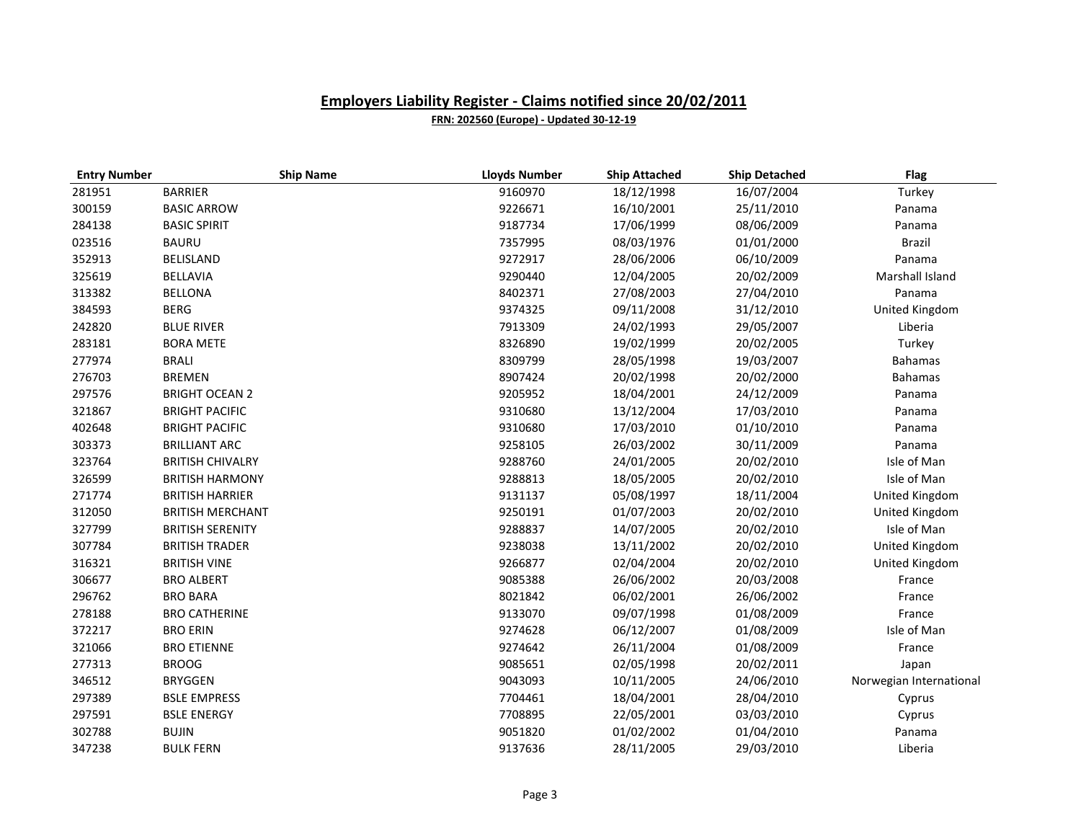| <b>Entry Number</b> | <b>Ship Name</b>        | <b>Lloyds Number</b> | <b>Ship Attached</b> | <b>Ship Detached</b> | <b>Flag</b>             |
|---------------------|-------------------------|----------------------|----------------------|----------------------|-------------------------|
| 281951              | <b>BARRIER</b>          | 9160970              | 18/12/1998           | 16/07/2004           | Turkey                  |
| 300159              | <b>BASIC ARROW</b>      | 9226671              | 16/10/2001           | 25/11/2010           | Panama                  |
| 284138              | <b>BASIC SPIRIT</b>     | 9187734              | 17/06/1999           | 08/06/2009           | Panama                  |
| 023516              | <b>BAURU</b>            | 7357995              | 08/03/1976           | 01/01/2000           | Brazil                  |
| 352913              | <b>BELISLAND</b>        | 9272917              | 28/06/2006           | 06/10/2009           | Panama                  |
| 325619              | <b>BELLAVIA</b>         | 9290440              | 12/04/2005           | 20/02/2009           | Marshall Island         |
| 313382              | <b>BELLONA</b>          | 8402371              | 27/08/2003           | 27/04/2010           | Panama                  |
| 384593              | <b>BERG</b>             | 9374325              | 09/11/2008           | 31/12/2010           | United Kingdom          |
| 242820              | <b>BLUE RIVER</b>       | 7913309              | 24/02/1993           | 29/05/2007           | Liberia                 |
| 283181              | <b>BORA METE</b>        | 8326890              | 19/02/1999           | 20/02/2005           | Turkey                  |
| 277974              | <b>BRALI</b>            | 8309799              | 28/05/1998           | 19/03/2007           | <b>Bahamas</b>          |
| 276703              | <b>BREMEN</b>           | 8907424              | 20/02/1998           | 20/02/2000           | <b>Bahamas</b>          |
| 297576              | <b>BRIGHT OCEAN 2</b>   | 9205952              | 18/04/2001           | 24/12/2009           | Panama                  |
| 321867              | <b>BRIGHT PACIFIC</b>   | 9310680              | 13/12/2004           | 17/03/2010           | Panama                  |
| 402648              | <b>BRIGHT PACIFIC</b>   | 9310680              | 17/03/2010           | 01/10/2010           | Panama                  |
| 303373              | <b>BRILLIANT ARC</b>    | 9258105              | 26/03/2002           | 30/11/2009           | Panama                  |
| 323764              | <b>BRITISH CHIVALRY</b> | 9288760              | 24/01/2005           | 20/02/2010           | Isle of Man             |
| 326599              | <b>BRITISH HARMONY</b>  | 9288813              | 18/05/2005           | 20/02/2010           | Isle of Man             |
| 271774              | <b>BRITISH HARRIER</b>  | 9131137              | 05/08/1997           | 18/11/2004           | United Kingdom          |
| 312050              | <b>BRITISH MERCHANT</b> | 9250191              | 01/07/2003           | 20/02/2010           | United Kingdom          |
| 327799              | <b>BRITISH SERENITY</b> | 9288837              | 14/07/2005           | 20/02/2010           | Isle of Man             |
| 307784              | <b>BRITISH TRADER</b>   | 9238038              | 13/11/2002           | 20/02/2010           | United Kingdom          |
| 316321              | <b>BRITISH VINE</b>     | 9266877              | 02/04/2004           | 20/02/2010           | United Kingdom          |
| 306677              | <b>BRO ALBERT</b>       | 9085388              | 26/06/2002           | 20/03/2008           | France                  |
| 296762              | <b>BRO BARA</b>         | 8021842              | 06/02/2001           | 26/06/2002           | France                  |
| 278188              | <b>BRO CATHERINE</b>    | 9133070              | 09/07/1998           | 01/08/2009           | France                  |
| 372217              | <b>BRO ERIN</b>         | 9274628              | 06/12/2007           | 01/08/2009           | Isle of Man             |
| 321066              | <b>BRO ETIENNE</b>      | 9274642              | 26/11/2004           | 01/08/2009           | France                  |
| 277313              | <b>BROOG</b>            | 9085651              | 02/05/1998           | 20/02/2011           | Japan                   |
| 346512              | <b>BRYGGEN</b>          | 9043093              | 10/11/2005           | 24/06/2010           | Norwegian International |
| 297389              | <b>BSLE EMPRESS</b>     | 7704461              | 18/04/2001           | 28/04/2010           | Cyprus                  |
| 297591              | <b>BSLE ENERGY</b>      | 7708895              | 22/05/2001           | 03/03/2010           | Cyprus                  |
| 302788              | <b>BUJIN</b>            | 9051820              | 01/02/2002           | 01/04/2010           | Panama                  |
| 347238              | <b>BULK FERN</b>        | 9137636              | 28/11/2005           | 29/03/2010           | Liberia                 |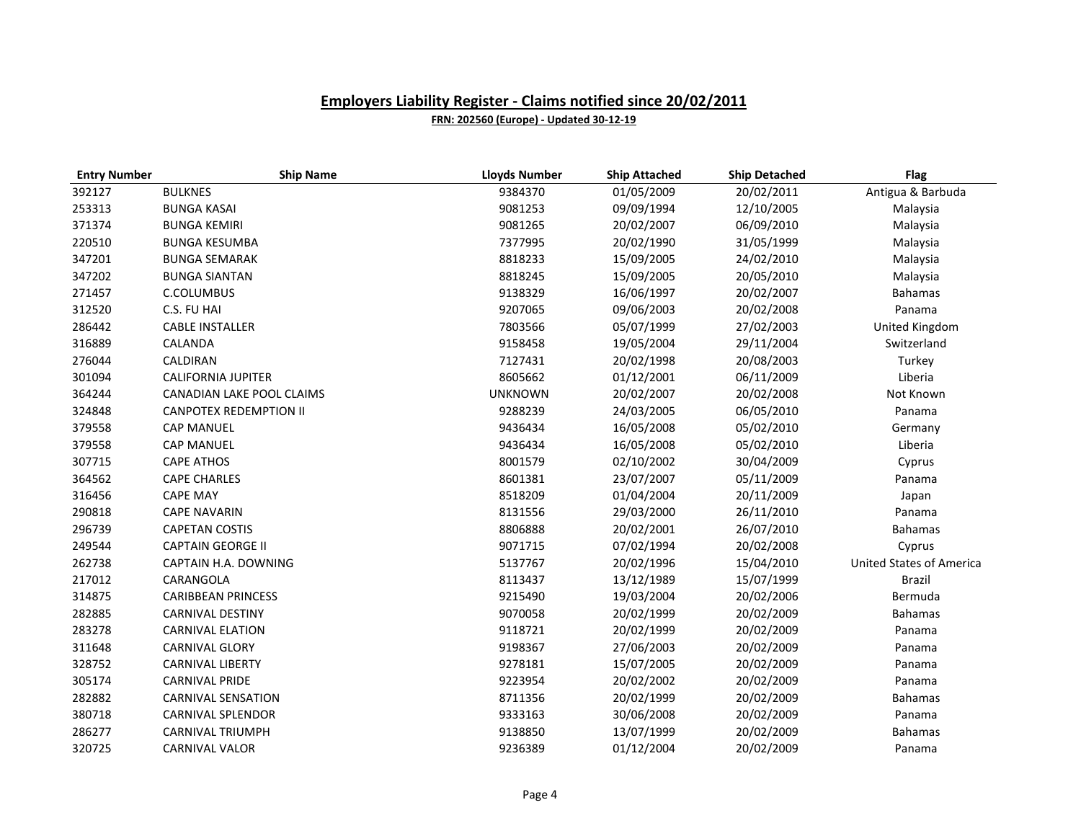| <b>Entry Number</b> | <b>Ship Name</b>              | <b>Lloyds Number</b> | <b>Ship Attached</b> | <b>Ship Detached</b> | <b>Flag</b>                     |
|---------------------|-------------------------------|----------------------|----------------------|----------------------|---------------------------------|
| 392127              | <b>BULKNES</b>                | 9384370              | 01/05/2009           | 20/02/2011           | Antigua & Barbuda               |
| 253313              | <b>BUNGA KASAI</b>            | 9081253              | 09/09/1994           | 12/10/2005           | Malaysia                        |
| 371374              | <b>BUNGA KEMIRI</b>           | 9081265              | 20/02/2007           | 06/09/2010           | Malaysia                        |
| 220510              | <b>BUNGA KESUMBA</b>          | 7377995              | 20/02/1990           | 31/05/1999           | Malaysia                        |
| 347201              | <b>BUNGA SEMARAK</b>          | 8818233              | 15/09/2005           | 24/02/2010           | Malaysia                        |
| 347202              | <b>BUNGA SIANTAN</b>          | 8818245              | 15/09/2005           | 20/05/2010           | Malaysia                        |
| 271457              | C.COLUMBUS                    | 9138329              | 16/06/1997           | 20/02/2007           | <b>Bahamas</b>                  |
| 312520              | C.S. FU HAI                   | 9207065              | 09/06/2003           | 20/02/2008           | Panama                          |
| 286442              | <b>CABLE INSTALLER</b>        | 7803566              | 05/07/1999           | 27/02/2003           | United Kingdom                  |
| 316889              | CALANDA                       | 9158458              | 19/05/2004           | 29/11/2004           | Switzerland                     |
| 276044              | CALDIRAN                      | 7127431              | 20/02/1998           | 20/08/2003           | Turkey                          |
| 301094              | <b>CALIFORNIA JUPITER</b>     | 8605662              | 01/12/2001           | 06/11/2009           | Liberia                         |
| 364244              | CANADIAN LAKE POOL CLAIMS     | <b>UNKNOWN</b>       | 20/02/2007           | 20/02/2008           | Not Known                       |
| 324848              | <b>CANPOTEX REDEMPTION II</b> | 9288239              | 24/03/2005           | 06/05/2010           | Panama                          |
| 379558              | <b>CAP MANUEL</b>             | 9436434              | 16/05/2008           | 05/02/2010           | Germany                         |
| 379558              | <b>CAP MANUEL</b>             | 9436434              | 16/05/2008           | 05/02/2010           | Liberia                         |
| 307715              | <b>CAPE ATHOS</b>             | 8001579              | 02/10/2002           | 30/04/2009           | Cyprus                          |
| 364562              | <b>CAPE CHARLES</b>           | 8601381              | 23/07/2007           | 05/11/2009           | Panama                          |
| 316456              | <b>CAPE MAY</b>               | 8518209              | 01/04/2004           | 20/11/2009           | Japan                           |
| 290818              | <b>CAPE NAVARIN</b>           | 8131556              | 29/03/2000           | 26/11/2010           | Panama                          |
| 296739              | <b>CAPETAN COSTIS</b>         | 8806888              | 20/02/2001           | 26/07/2010           | <b>Bahamas</b>                  |
| 249544              | <b>CAPTAIN GEORGE II</b>      | 9071715              | 07/02/1994           | 20/02/2008           | Cyprus                          |
| 262738              | CAPTAIN H.A. DOWNING          | 5137767              | 20/02/1996           | 15/04/2010           | <b>United States of America</b> |
| 217012              | CARANGOLA                     | 8113437              | 13/12/1989           | 15/07/1999           | <b>Brazil</b>                   |
| 314875              | <b>CARIBBEAN PRINCESS</b>     | 9215490              | 19/03/2004           | 20/02/2006           | Bermuda                         |
| 282885              | <b>CARNIVAL DESTINY</b>       | 9070058              | 20/02/1999           | 20/02/2009           | <b>Bahamas</b>                  |
| 283278              | <b>CARNIVAL ELATION</b>       | 9118721              | 20/02/1999           | 20/02/2009           | Panama                          |
| 311648              | <b>CARNIVAL GLORY</b>         | 9198367              | 27/06/2003           | 20/02/2009           | Panama                          |
| 328752              | <b>CARNIVAL LIBERTY</b>       | 9278181              | 15/07/2005           | 20/02/2009           | Panama                          |
| 305174              | <b>CARNIVAL PRIDE</b>         | 9223954              | 20/02/2002           | 20/02/2009           | Panama                          |
| 282882              | <b>CARNIVAL SENSATION</b>     | 8711356              | 20/02/1999           | 20/02/2009           | Bahamas                         |
| 380718              | <b>CARNIVAL SPLENDOR</b>      | 9333163              | 30/06/2008           | 20/02/2009           | Panama                          |
| 286277              | <b>CARNIVAL TRIUMPH</b>       | 9138850              | 13/07/1999           | 20/02/2009           | <b>Bahamas</b>                  |
| 320725              | <b>CARNIVAL VALOR</b>         | 9236389              | 01/12/2004           | 20/02/2009           | Panama                          |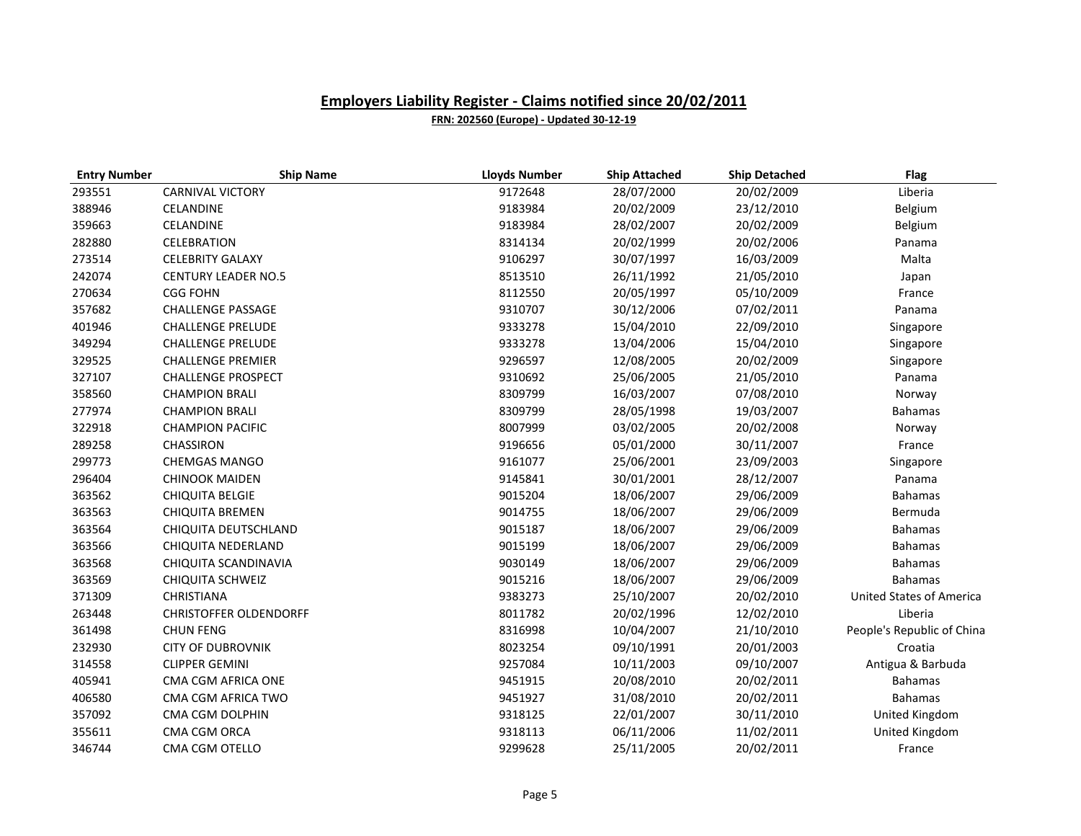| <b>Entry Number</b> | <b>Ship Name</b>              | <b>Lloyds Number</b> | <b>Ship Attached</b> | <b>Ship Detached</b> | <b>Flag</b>                     |
|---------------------|-------------------------------|----------------------|----------------------|----------------------|---------------------------------|
| 293551              | <b>CARNIVAL VICTORY</b>       | 9172648              | 28/07/2000           | 20/02/2009           | Liberia                         |
| 388946              | CELANDINE                     | 9183984              | 20/02/2009           | 23/12/2010           | Belgium                         |
| 359663              | CELANDINE                     | 9183984              | 28/02/2007           | 20/02/2009           | Belgium                         |
| 282880              | CELEBRATION                   | 8314134              | 20/02/1999           | 20/02/2006           | Panama                          |
| 273514              | <b>CELEBRITY GALAXY</b>       | 9106297              | 30/07/1997           | 16/03/2009           | Malta                           |
| 242074              | <b>CENTURY LEADER NO.5</b>    | 8513510              | 26/11/1992           | 21/05/2010           | Japan                           |
| 270634              | <b>CGG FOHN</b>               | 8112550              | 20/05/1997           | 05/10/2009           | France                          |
| 357682              | <b>CHALLENGE PASSAGE</b>      | 9310707              | 30/12/2006           | 07/02/2011           | Panama                          |
| 401946              | <b>CHALLENGE PRELUDE</b>      | 9333278              | 15/04/2010           | 22/09/2010           | Singapore                       |
| 349294              | <b>CHALLENGE PRELUDE</b>      | 9333278              | 13/04/2006           | 15/04/2010           | Singapore                       |
| 329525              | <b>CHALLENGE PREMIER</b>      | 9296597              | 12/08/2005           | 20/02/2009           | Singapore                       |
| 327107              | <b>CHALLENGE PROSPECT</b>     | 9310692              | 25/06/2005           | 21/05/2010           | Panama                          |
| 358560              | <b>CHAMPION BRALI</b>         | 8309799              | 16/03/2007           | 07/08/2010           | Norway                          |
| 277974              | <b>CHAMPION BRALI</b>         | 8309799              | 28/05/1998           | 19/03/2007           | <b>Bahamas</b>                  |
| 322918              | <b>CHAMPION PACIFIC</b>       | 8007999              | 03/02/2005           | 20/02/2008           | Norway                          |
| 289258              | CHASSIRON                     | 9196656              | 05/01/2000           | 30/11/2007           | France                          |
| 299773              | <b>CHEMGAS MANGO</b>          | 9161077              | 25/06/2001           | 23/09/2003           | Singapore                       |
| 296404              | <b>CHINOOK MAIDEN</b>         | 9145841              | 30/01/2001           | 28/12/2007           | Panama                          |
| 363562              | <b>CHIQUITA BELGIE</b>        | 9015204              | 18/06/2007           | 29/06/2009           | <b>Bahamas</b>                  |
| 363563              | <b>CHIQUITA BREMEN</b>        | 9014755              | 18/06/2007           | 29/06/2009           | Bermuda                         |
| 363564              | CHIQUITA DEUTSCHLAND          | 9015187              | 18/06/2007           | 29/06/2009           | <b>Bahamas</b>                  |
| 363566              | CHIQUITA NEDERLAND            | 9015199              | 18/06/2007           | 29/06/2009           | <b>Bahamas</b>                  |
| 363568              | CHIQUITA SCANDINAVIA          | 9030149              | 18/06/2007           | 29/06/2009           | <b>Bahamas</b>                  |
| 363569              | <b>CHIQUITA SCHWEIZ</b>       | 9015216              | 18/06/2007           | 29/06/2009           | <b>Bahamas</b>                  |
| 371309              | <b>CHRISTIANA</b>             | 9383273              | 25/10/2007           | 20/02/2010           | <b>United States of America</b> |
| 263448              | <b>CHRISTOFFER OLDENDORFF</b> | 8011782              | 20/02/1996           | 12/02/2010           | Liberia                         |
| 361498              | <b>CHUN FENG</b>              | 8316998              | 10/04/2007           | 21/10/2010           | People's Republic of China      |
| 232930              | <b>CITY OF DUBROVNIK</b>      | 8023254              | 09/10/1991           | 20/01/2003           | Croatia                         |
| 314558              | <b>CLIPPER GEMINI</b>         | 9257084              | 10/11/2003           | 09/10/2007           | Antigua & Barbuda               |
| 405941              | CMA CGM AFRICA ONE            | 9451915              | 20/08/2010           | 20/02/2011           | <b>Bahamas</b>                  |
| 406580              | CMA CGM AFRICA TWO            | 9451927              | 31/08/2010           | 20/02/2011           | <b>Bahamas</b>                  |
| 357092              | CMA CGM DOLPHIN               | 9318125              | 22/01/2007           | 30/11/2010           | United Kingdom                  |
| 355611              | CMA CGM ORCA                  | 9318113              | 06/11/2006           | 11/02/2011           | United Kingdom                  |
| 346744              | CMA CGM OTELLO                | 9299628              | 25/11/2005           | 20/02/2011           | France                          |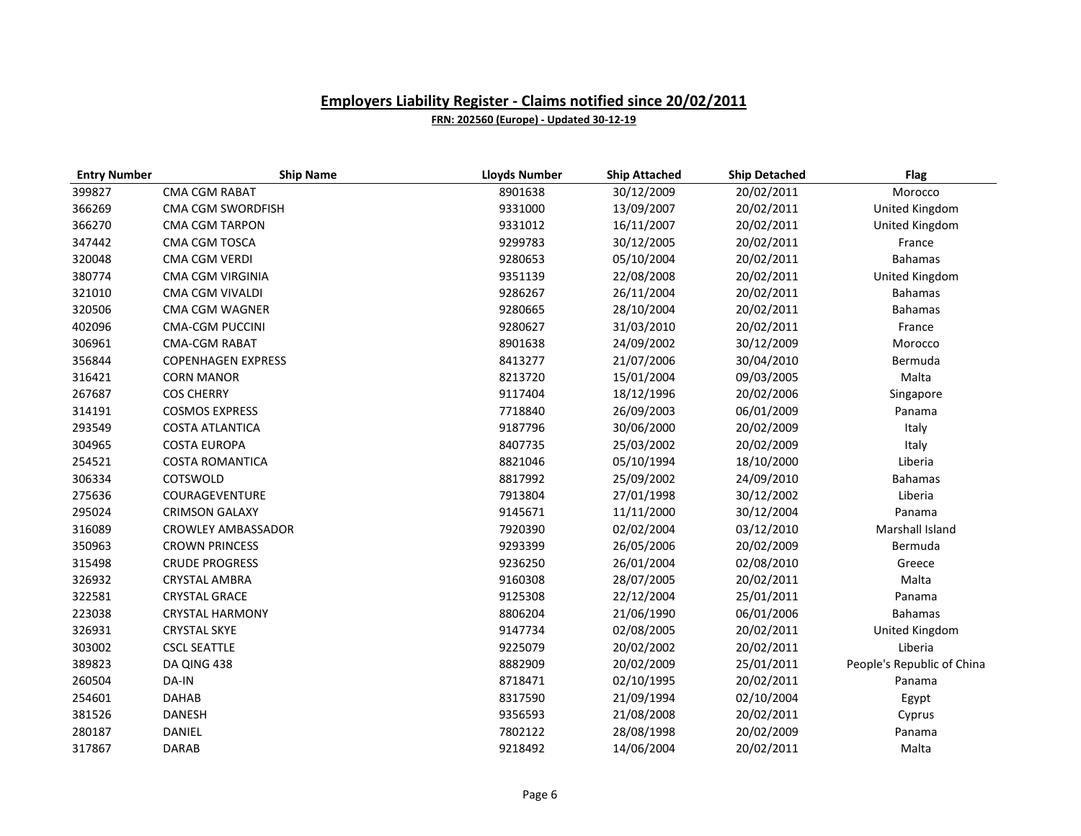| <b>Entry Number</b> | <b>Ship Name</b>          | <b>Lloyds Number</b> | <b>Ship Attached</b> | <b>Ship Detached</b> | <b>Flag</b>                |
|---------------------|---------------------------|----------------------|----------------------|----------------------|----------------------------|
| 399827              | CMA CGM RABAT             | 8901638              | 30/12/2009           | 20/02/2011           | Morocco                    |
| 366269              | CMA CGM SWORDFISH         | 9331000              | 13/09/2007           | 20/02/2011           | United Kingdom             |
| 366270              | <b>CMA CGM TARPON</b>     | 9331012              | 16/11/2007           | 20/02/2011           | United Kingdom             |
| 347442              | CMA CGM TOSCA             | 9299783              | 30/12/2005           | 20/02/2011           | France                     |
| 320048              | <b>CMA CGM VERDI</b>      | 9280653              | 05/10/2004           | 20/02/2011           | <b>Bahamas</b>             |
| 380774              | CMA CGM VIRGINIA          | 9351139              | 22/08/2008           | 20/02/2011           | United Kingdom             |
| 321010              | CMA CGM VIVALDI           | 9286267              | 26/11/2004           | 20/02/2011           | <b>Bahamas</b>             |
| 320506              | CMA CGM WAGNER            | 9280665              | 28/10/2004           | 20/02/2011           | <b>Bahamas</b>             |
| 402096              | <b>CMA-CGM PUCCINI</b>    | 9280627              | 31/03/2010           | 20/02/2011           | France                     |
| 306961              | <b>CMA-CGM RABAT</b>      | 8901638              | 24/09/2002           | 30/12/2009           | Morocco                    |
| 356844              | <b>COPENHAGEN EXPRESS</b> | 8413277              | 21/07/2006           | 30/04/2010           | Bermuda                    |
| 316421              | <b>CORN MANOR</b>         | 8213720              | 15/01/2004           | 09/03/2005           | Malta                      |
| 267687              | <b>COS CHERRY</b>         | 9117404              | 18/12/1996           | 20/02/2006           | Singapore                  |
| 314191              | <b>COSMOS EXPRESS</b>     | 7718840              | 26/09/2003           | 06/01/2009           | Panama                     |
| 293549              | <b>COSTA ATLANTICA</b>    | 9187796              | 30/06/2000           | 20/02/2009           | Italy                      |
| 304965              | <b>COSTA EUROPA</b>       | 8407735              | 25/03/2002           | 20/02/2009           | Italy                      |
| 254521              | <b>COSTA ROMANTICA</b>    | 8821046              | 05/10/1994           | 18/10/2000           | Liberia                    |
| 306334              | COTSWOLD                  | 8817992              | 25/09/2002           | 24/09/2010           | <b>Bahamas</b>             |
| 275636              | COURAGEVENTURE            | 7913804              | 27/01/1998           | 30/12/2002           | Liberia                    |
| 295024              | <b>CRIMSON GALAXY</b>     | 9145671              | 11/11/2000           | 30/12/2004           | Panama                     |
| 316089              | <b>CROWLEY AMBASSADOR</b> | 7920390              | 02/02/2004           | 03/12/2010           | Marshall Island            |
| 350963              | <b>CROWN PRINCESS</b>     | 9293399              | 26/05/2006           | 20/02/2009           | Bermuda                    |
| 315498              | <b>CRUDE PROGRESS</b>     | 9236250              | 26/01/2004           | 02/08/2010           | Greece                     |
| 326932              | <b>CRYSTAL AMBRA</b>      | 9160308              | 28/07/2005           | 20/02/2011           | Malta                      |
| 322581              | <b>CRYSTAL GRACE</b>      | 9125308              | 22/12/2004           | 25/01/2011           | Panama                     |
| 223038              | <b>CRYSTAL HARMONY</b>    | 8806204              | 21/06/1990           | 06/01/2006           | <b>Bahamas</b>             |
| 326931              | <b>CRYSTAL SKYE</b>       | 9147734              | 02/08/2005           | 20/02/2011           | United Kingdom             |
| 303002              | <b>CSCL SEATTLE</b>       | 9225079              | 20/02/2002           | 20/02/2011           | Liberia                    |
| 389823              | DA QING 438               | 8882909              | 20/02/2009           | 25/01/2011           | People's Republic of China |
| 260504              | DA-IN                     | 8718471              | 02/10/1995           | 20/02/2011           | Panama                     |
| 254601              | <b>DAHAB</b>              | 8317590              | 21/09/1994           | 02/10/2004           | Egypt                      |
| 381526              | <b>DANESH</b>             | 9356593              | 21/08/2008           | 20/02/2011           | Cyprus                     |
| 280187              | DANIEL                    | 7802122              | 28/08/1998           | 20/02/2009           | Panama                     |
| 317867              | <b>DARAB</b>              | 9218492              | 14/06/2004           | 20/02/2011           | Malta                      |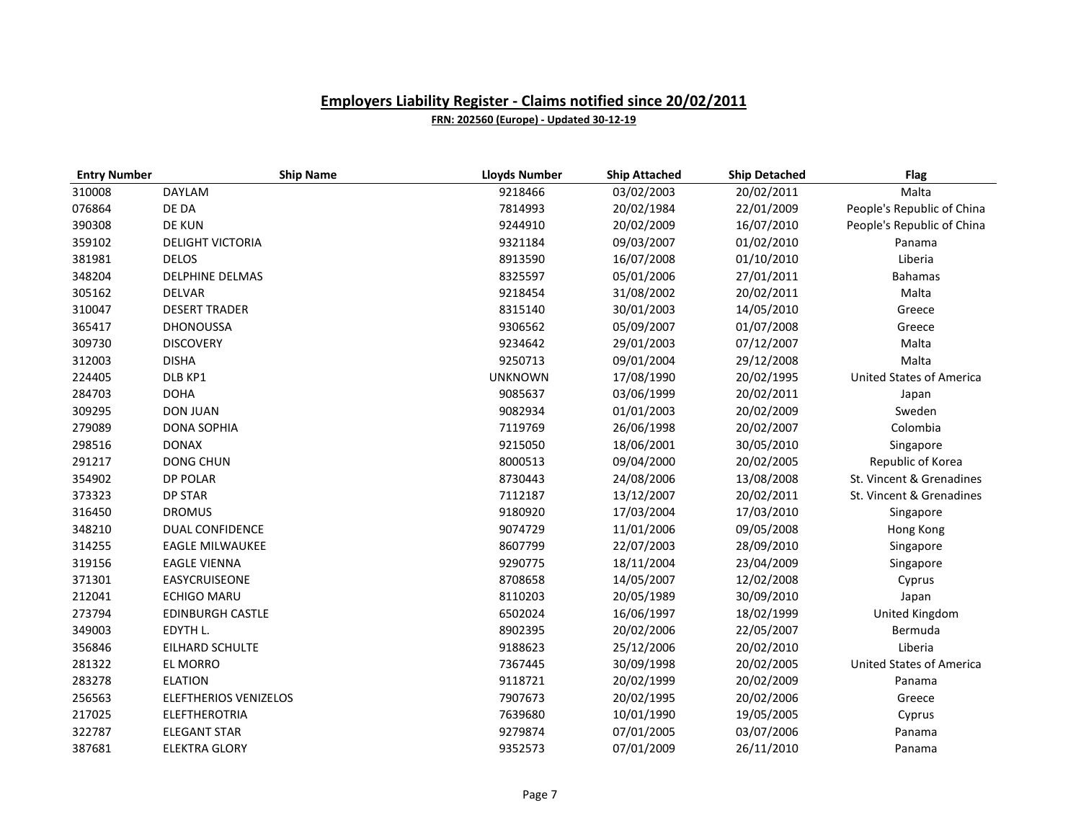| <b>Entry Number</b> | <b>Ship Name</b>        | <b>Lloyds Number</b> | <b>Ship Attached</b> | <b>Ship Detached</b> | <b>Flag</b>                     |
|---------------------|-------------------------|----------------------|----------------------|----------------------|---------------------------------|
| 310008              | <b>DAYLAM</b>           | 9218466              | 03/02/2003           | 20/02/2011           | Malta                           |
| 076864              | DE DA                   | 7814993              | 20/02/1984           | 22/01/2009           | People's Republic of China      |
| 390308              | <b>DE KUN</b>           | 9244910              | 20/02/2009           | 16/07/2010           | People's Republic of China      |
| 359102              | <b>DELIGHT VICTORIA</b> | 9321184              | 09/03/2007           | 01/02/2010           | Panama                          |
| 381981              | <b>DELOS</b>            | 8913590              | 16/07/2008           | 01/10/2010           | Liberia                         |
| 348204              | <b>DELPHINE DELMAS</b>  | 8325597              | 05/01/2006           | 27/01/2011           | <b>Bahamas</b>                  |
| 305162              | <b>DELVAR</b>           | 9218454              | 31/08/2002           | 20/02/2011           | Malta                           |
| 310047              | <b>DESERT TRADER</b>    | 8315140              | 30/01/2003           | 14/05/2010           | Greece                          |
| 365417              | <b>DHONOUSSA</b>        | 9306562              | 05/09/2007           | 01/07/2008           | Greece                          |
| 309730              | <b>DISCOVERY</b>        | 9234642              | 29/01/2003           | 07/12/2007           | Malta                           |
| 312003              | <b>DISHA</b>            | 9250713              | 09/01/2004           | 29/12/2008           | Malta                           |
| 224405              | DLB KP1                 | <b>UNKNOWN</b>       | 17/08/1990           | 20/02/1995           | <b>United States of America</b> |
| 284703              | <b>DOHA</b>             | 9085637              | 03/06/1999           | 20/02/2011           | Japan                           |
| 309295              | <b>DON JUAN</b>         | 9082934              | 01/01/2003           | 20/02/2009           | Sweden                          |
| 279089              | <b>DONA SOPHIA</b>      | 7119769              | 26/06/1998           | 20/02/2007           | Colombia                        |
| 298516              | <b>DONAX</b>            | 9215050              | 18/06/2001           | 30/05/2010           | Singapore                       |
| 291217              | <b>DONG CHUN</b>        | 8000513              | 09/04/2000           | 20/02/2005           | Republic of Korea               |
| 354902              | <b>DP POLAR</b>         | 8730443              | 24/08/2006           | 13/08/2008           | St. Vincent & Grenadines        |
| 373323              | <b>DP STAR</b>          | 7112187              | 13/12/2007           | 20/02/2011           | St. Vincent & Grenadines        |
| 316450              | <b>DROMUS</b>           | 9180920              | 17/03/2004           | 17/03/2010           | Singapore                       |
| 348210              | <b>DUAL CONFIDENCE</b>  | 9074729              | 11/01/2006           | 09/05/2008           | Hong Kong                       |
| 314255              | <b>EAGLE MILWAUKEE</b>  | 8607799              | 22/07/2003           | 28/09/2010           | Singapore                       |
| 319156              | <b>EAGLE VIENNA</b>     | 9290775              | 18/11/2004           | 23/04/2009           | Singapore                       |
| 371301              | EASYCRUISEONE           | 8708658              | 14/05/2007           | 12/02/2008           | Cyprus                          |
| 212041              | <b>ECHIGO MARU</b>      | 8110203              | 20/05/1989           | 30/09/2010           | Japan                           |
| 273794              | <b>EDINBURGH CASTLE</b> | 6502024              | 16/06/1997           | 18/02/1999           | United Kingdom                  |
| 349003              | EDYTH L.                | 8902395              | 20/02/2006           | 22/05/2007           | Bermuda                         |
| 356846              | EILHARD SCHULTE         | 9188623              | 25/12/2006           | 20/02/2010           | Liberia                         |
| 281322              | <b>EL MORRO</b>         | 7367445              | 30/09/1998           | 20/02/2005           | <b>United States of America</b> |
| 283278              | <b>ELATION</b>          | 9118721              | 20/02/1999           | 20/02/2009           | Panama                          |
| 256563              | ELEFTHERIOS VENIZELOS   | 7907673              | 20/02/1995           | 20/02/2006           | Greece                          |
| 217025              | <b>ELEFTHEROTRIA</b>    | 7639680              | 10/01/1990           | 19/05/2005           | Cyprus                          |
| 322787              | <b>ELEGANT STAR</b>     | 9279874              | 07/01/2005           | 03/07/2006           | Panama                          |
| 387681              | <b>ELEKTRA GLORY</b>    | 9352573              | 07/01/2009           | 26/11/2010           | Panama                          |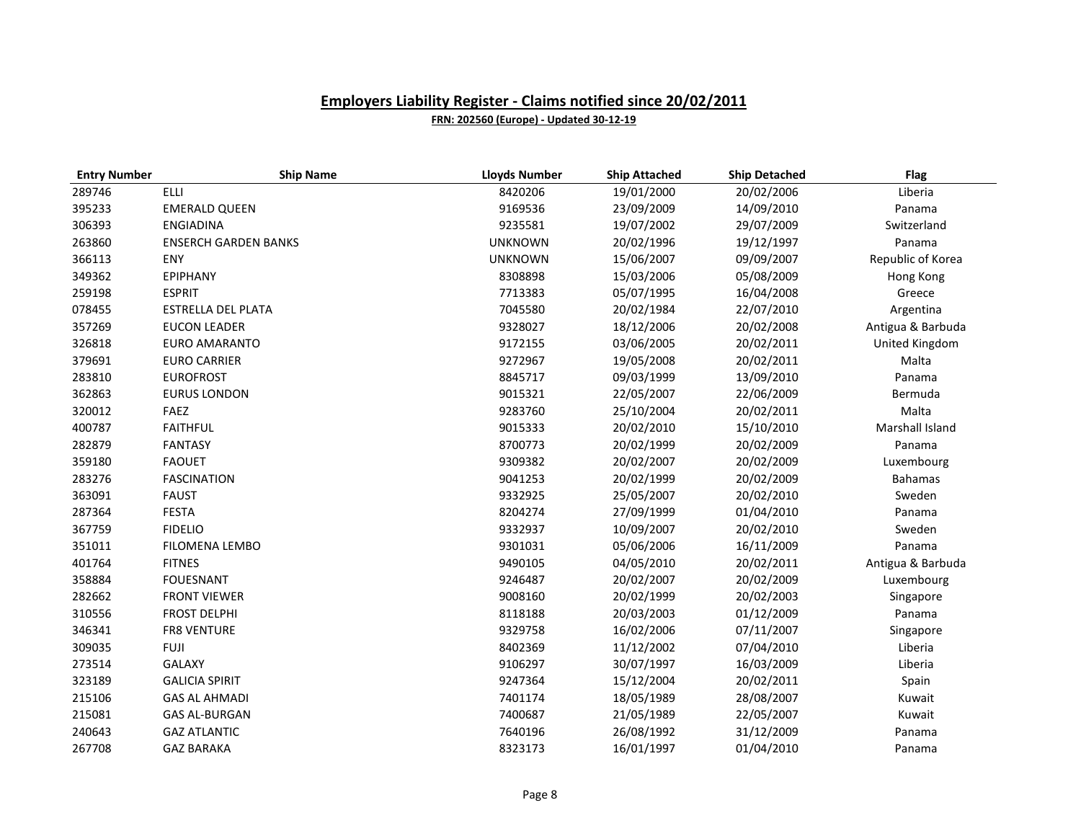| <b>Entry Number</b> | <b>Ship Name</b>            | <b>Lloyds Number</b> | <b>Ship Attached</b> | <b>Ship Detached</b> | Flag              |
|---------------------|-----------------------------|----------------------|----------------------|----------------------|-------------------|
| 289746              | ELLI                        | 8420206              | 19/01/2000           | 20/02/2006           | Liberia           |
| 395233              | <b>EMERALD QUEEN</b>        | 9169536              | 23/09/2009           | 14/09/2010           | Panama            |
| 306393              | <b>ENGIADINA</b>            | 9235581              | 19/07/2002           | 29/07/2009           | Switzerland       |
| 263860              | <b>ENSERCH GARDEN BANKS</b> | <b>UNKNOWN</b>       | 20/02/1996           | 19/12/1997           | Panama            |
| 366113              | ENY                         | <b>UNKNOWN</b>       | 15/06/2007           | 09/09/2007           | Republic of Korea |
| 349362              | <b>EPIPHANY</b>             | 8308898              | 15/03/2006           | 05/08/2009           | Hong Kong         |
| 259198              | <b>ESPRIT</b>               | 7713383              | 05/07/1995           | 16/04/2008           | Greece            |
| 078455              | ESTRELLA DEL PLATA          | 7045580              | 20/02/1984           | 22/07/2010           | Argentina         |
| 357269              | <b>EUCON LEADER</b>         | 9328027              | 18/12/2006           | 20/02/2008           | Antigua & Barbuda |
| 326818              | EURO AMARANTO               | 9172155              | 03/06/2005           | 20/02/2011           | United Kingdom    |
| 379691              | <b>EURO CARRIER</b>         | 9272967              | 19/05/2008           | 20/02/2011           | Malta             |
| 283810              | <b>EUROFROST</b>            | 8845717              | 09/03/1999           | 13/09/2010           | Panama            |
| 362863              | <b>EURUS LONDON</b>         | 9015321              | 22/05/2007           | 22/06/2009           | Bermuda           |
| 320012              | FAEZ                        | 9283760              | 25/10/2004           | 20/02/2011           | Malta             |
| 400787              | <b>FAITHFUL</b>             | 9015333              | 20/02/2010           | 15/10/2010           | Marshall Island   |
| 282879              | <b>FANTASY</b>              | 8700773              | 20/02/1999           | 20/02/2009           | Panama            |
| 359180              | <b>FAOUET</b>               | 9309382              | 20/02/2007           | 20/02/2009           | Luxembourg        |
| 283276              | <b>FASCINATION</b>          | 9041253              | 20/02/1999           | 20/02/2009           | <b>Bahamas</b>    |
| 363091              | <b>FAUST</b>                | 9332925              | 25/05/2007           | 20/02/2010           | Sweden            |
| 287364              | <b>FESTA</b>                | 8204274              | 27/09/1999           | 01/04/2010           | Panama            |
| 367759              | <b>FIDELIO</b>              | 9332937              | 10/09/2007           | 20/02/2010           | Sweden            |
| 351011              | FILOMENA LEMBO              | 9301031              | 05/06/2006           | 16/11/2009           | Panama            |
| 401764              | <b>FITNES</b>               | 9490105              | 04/05/2010           | 20/02/2011           | Antigua & Barbuda |
| 358884              | <b>FOUESNANT</b>            | 9246487              | 20/02/2007           | 20/02/2009           | Luxembourg        |
| 282662              | <b>FRONT VIEWER</b>         | 9008160              | 20/02/1999           | 20/02/2003           | Singapore         |
| 310556              | <b>FROST DELPHI</b>         | 8118188              | 20/03/2003           | 01/12/2009           | Panama            |
| 346341              | FR8 VENTURE                 | 9329758              | 16/02/2006           | 07/11/2007           | Singapore         |
| 309035              | <b>FUJI</b>                 | 8402369              | 11/12/2002           | 07/04/2010           | Liberia           |
| 273514              | <b>GALAXY</b>               | 9106297              | 30/07/1997           | 16/03/2009           | Liberia           |
| 323189              | <b>GALICIA SPIRIT</b>       | 9247364              | 15/12/2004           | 20/02/2011           | Spain             |
| 215106              | <b>GAS AL AHMADI</b>        | 7401174              | 18/05/1989           | 28/08/2007           | Kuwait            |
| 215081              | <b>GAS AL-BURGAN</b>        | 7400687              | 21/05/1989           | 22/05/2007           | Kuwait            |
| 240643              | <b>GAZ ATLANTIC</b>         | 7640196              | 26/08/1992           | 31/12/2009           | Panama            |
| 267708              | <b>GAZ BARAKA</b>           | 8323173              | 16/01/1997           | 01/04/2010           | Panama            |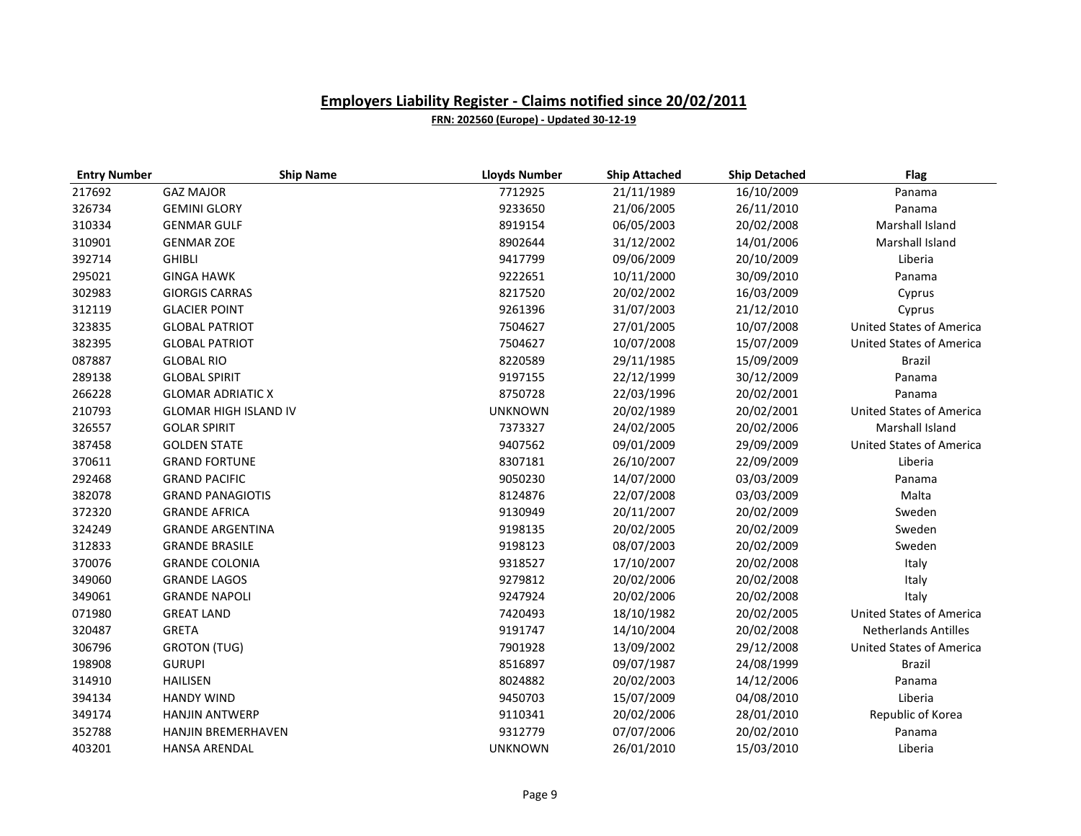| <b>Entry Number</b> | <b>Ship Name</b>             | <b>Lloyds Number</b> | <b>Ship Attached</b> | <b>Ship Detached</b> | Flag                            |
|---------------------|------------------------------|----------------------|----------------------|----------------------|---------------------------------|
| 217692              | <b>GAZ MAJOR</b>             | 7712925              | 21/11/1989           | 16/10/2009           | Panama                          |
| 326734              | <b>GEMINI GLORY</b>          | 9233650              | 21/06/2005           | 26/11/2010           | Panama                          |
| 310334              | <b>GENMAR GULF</b>           | 8919154              | 06/05/2003           | 20/02/2008           | Marshall Island                 |
| 310901              | <b>GENMAR ZOE</b>            | 8902644              | 31/12/2002           | 14/01/2006           | Marshall Island                 |
| 392714              | <b>GHIBLI</b>                | 9417799              | 09/06/2009           | 20/10/2009           | Liberia                         |
| 295021              | <b>GINGA HAWK</b>            | 9222651              | 10/11/2000           | 30/09/2010           | Panama                          |
| 302983              | <b>GIORGIS CARRAS</b>        | 8217520              | 20/02/2002           | 16/03/2009           | Cyprus                          |
| 312119              | <b>GLACIER POINT</b>         | 9261396              | 31/07/2003           | 21/12/2010           | Cyprus                          |
| 323835              | <b>GLOBAL PATRIOT</b>        | 7504627              | 27/01/2005           | 10/07/2008           | <b>United States of America</b> |
| 382395              | <b>GLOBAL PATRIOT</b>        | 7504627              | 10/07/2008           | 15/07/2009           | <b>United States of America</b> |
| 087887              | <b>GLOBAL RIO</b>            | 8220589              | 29/11/1985           | 15/09/2009           | <b>Brazil</b>                   |
| 289138              | <b>GLOBAL SPIRIT</b>         | 9197155              | 22/12/1999           | 30/12/2009           | Panama                          |
| 266228              | <b>GLOMAR ADRIATIC X</b>     | 8750728              | 22/03/1996           | 20/02/2001           | Panama                          |
| 210793              | <b>GLOMAR HIGH ISLAND IV</b> | <b>UNKNOWN</b>       | 20/02/1989           | 20/02/2001           | <b>United States of America</b> |
| 326557              | <b>GOLAR SPIRIT</b>          | 7373327              | 24/02/2005           | 20/02/2006           | Marshall Island                 |
| 387458              | <b>GOLDEN STATE</b>          | 9407562              | 09/01/2009           | 29/09/2009           | <b>United States of America</b> |
| 370611              | <b>GRAND FORTUNE</b>         | 8307181              | 26/10/2007           | 22/09/2009           | Liberia                         |
| 292468              | <b>GRAND PACIFIC</b>         | 9050230              | 14/07/2000           | 03/03/2009           | Panama                          |
| 382078              | <b>GRAND PANAGIOTIS</b>      | 8124876              | 22/07/2008           | 03/03/2009           | Malta                           |
| 372320              | <b>GRANDE AFRICA</b>         | 9130949              | 20/11/2007           | 20/02/2009           | Sweden                          |
| 324249              | <b>GRANDE ARGENTINA</b>      | 9198135              | 20/02/2005           | 20/02/2009           | Sweden                          |
| 312833              | <b>GRANDE BRASILE</b>        | 9198123              | 08/07/2003           | 20/02/2009           | Sweden                          |
| 370076              | <b>GRANDE COLONIA</b>        | 9318527              | 17/10/2007           | 20/02/2008           | Italy                           |
| 349060              | <b>GRANDE LAGOS</b>          | 9279812              | 20/02/2006           | 20/02/2008           | Italy                           |
| 349061              | <b>GRANDE NAPOLI</b>         | 9247924              | 20/02/2006           | 20/02/2008           | Italy                           |
| 071980              | <b>GREAT LAND</b>            | 7420493              | 18/10/1982           | 20/02/2005           | <b>United States of America</b> |
| 320487              | <b>GRETA</b>                 | 9191747              | 14/10/2004           | 20/02/2008           | <b>Netherlands Antilles</b>     |
| 306796              | <b>GROTON (TUG)</b>          | 7901928              | 13/09/2002           | 29/12/2008           | <b>United States of America</b> |
| 198908              | <b>GURUPI</b>                | 8516897              | 09/07/1987           | 24/08/1999           | <b>Brazil</b>                   |
| 314910              | <b>HAILISEN</b>              | 8024882              | 20/02/2003           | 14/12/2006           | Panama                          |
| 394134              | <b>HANDY WIND</b>            | 9450703              | 15/07/2009           | 04/08/2010           | Liberia                         |
| 349174              | <b>HANJIN ANTWERP</b>        | 9110341              | 20/02/2006           | 28/01/2010           | Republic of Korea               |
| 352788              | HANJIN BREMERHAVEN           | 9312779              | 07/07/2006           | 20/02/2010           | Panama                          |
| 403201              | <b>HANSA ARENDAL</b>         | <b>UNKNOWN</b>       | 26/01/2010           | 15/03/2010           | Liberia                         |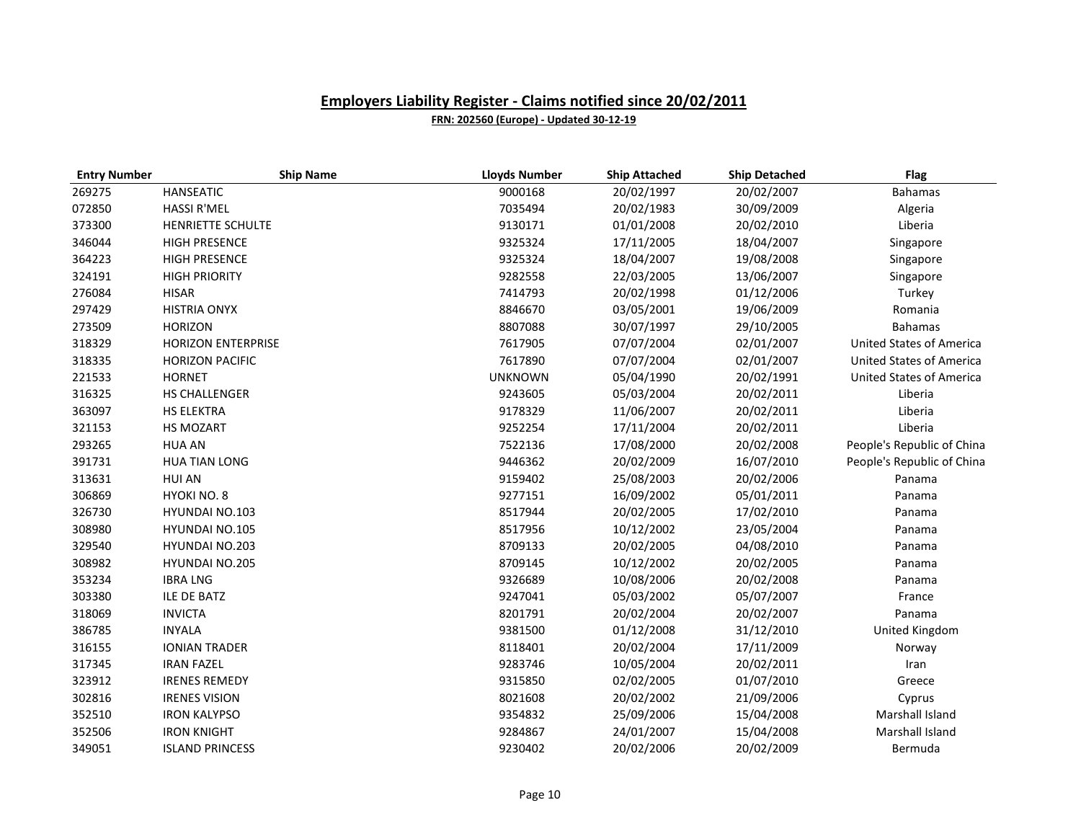| <b>Entry Number</b> | <b>Ship Name</b>          | <b>Lloyds Number</b> | <b>Ship Attached</b> | <b>Ship Detached</b> | <b>Flag</b>                     |
|---------------------|---------------------------|----------------------|----------------------|----------------------|---------------------------------|
| 269275              | <b>HANSEATIC</b>          | 9000168              | 20/02/1997           | 20/02/2007           | <b>Bahamas</b>                  |
| 072850              | <b>HASSI R'MEL</b>        | 7035494              | 20/02/1983           | 30/09/2009           | Algeria                         |
| 373300              | HENRIETTE SCHULTE         | 9130171              | 01/01/2008           | 20/02/2010           | Liberia                         |
| 346044              | <b>HIGH PRESENCE</b>      | 9325324              | 17/11/2005           | 18/04/2007           | Singapore                       |
| 364223              | <b>HIGH PRESENCE</b>      | 9325324              | 18/04/2007           | 19/08/2008           | Singapore                       |
| 324191              | <b>HIGH PRIORITY</b>      | 9282558              | 22/03/2005           | 13/06/2007           | Singapore                       |
| 276084              | <b>HISAR</b>              | 7414793              | 20/02/1998           | 01/12/2006           | Turkey                          |
| 297429              | <b>HISTRIA ONYX</b>       | 8846670              | 03/05/2001           | 19/06/2009           | Romania                         |
| 273509              | <b>HORIZON</b>            | 8807088              | 30/07/1997           | 29/10/2005           | <b>Bahamas</b>                  |
| 318329              | <b>HORIZON ENTERPRISE</b> | 7617905              | 07/07/2004           | 02/01/2007           | <b>United States of America</b> |
| 318335              | <b>HORIZON PACIFIC</b>    | 7617890              | 07/07/2004           | 02/01/2007           | <b>United States of America</b> |
| 221533              | <b>HORNET</b>             | <b>UNKNOWN</b>       | 05/04/1990           | 20/02/1991           | <b>United States of America</b> |
| 316325              | HS CHALLENGER             | 9243605              | 05/03/2004           | 20/02/2011           | Liberia                         |
| 363097              | HS ELEKTRA                | 9178329              | 11/06/2007           | 20/02/2011           | Liberia                         |
| 321153              | HS MOZART                 | 9252254              | 17/11/2004           | 20/02/2011           | Liberia                         |
| 293265              | <b>HUA AN</b>             | 7522136              | 17/08/2000           | 20/02/2008           | People's Republic of China      |
| 391731              | <b>HUA TIAN LONG</b>      | 9446362              | 20/02/2009           | 16/07/2010           | People's Republic of China      |
| 313631              | <b>HUI AN</b>             | 9159402              | 25/08/2003           | 20/02/2006           | Panama                          |
| 306869              | HYOKI NO. 8               | 9277151              | 16/09/2002           | 05/01/2011           | Panama                          |
| 326730              | <b>HYUNDAI NO.103</b>     | 8517944              | 20/02/2005           | 17/02/2010           | Panama                          |
| 308980              | <b>HYUNDAI NO.105</b>     | 8517956              | 10/12/2002           | 23/05/2004           | Panama                          |
| 329540              | <b>HYUNDAI NO.203</b>     | 8709133              | 20/02/2005           | 04/08/2010           | Panama                          |
| 308982              | <b>HYUNDAI NO.205</b>     | 8709145              | 10/12/2002           | 20/02/2005           | Panama                          |
| 353234              | <b>IBRA LNG</b>           | 9326689              | 10/08/2006           | 20/02/2008           | Panama                          |
| 303380              | <b>ILE DE BATZ</b>        | 9247041              | 05/03/2002           | 05/07/2007           | France                          |
| 318069              | <b>INVICTA</b>            | 8201791              | 20/02/2004           | 20/02/2007           | Panama                          |
| 386785              | <b>INYALA</b>             | 9381500              | 01/12/2008           | 31/12/2010           | United Kingdom                  |
| 316155              | <b>IONIAN TRADER</b>      | 8118401              | 20/02/2004           | 17/11/2009           | Norway                          |
| 317345              | <b>IRAN FAZEL</b>         | 9283746              | 10/05/2004           | 20/02/2011           | Iran                            |
| 323912              | <b>IRENES REMEDY</b>      | 9315850              | 02/02/2005           | 01/07/2010           | Greece                          |
| 302816              | <b>IRENES VISION</b>      | 8021608              | 20/02/2002           | 21/09/2006           | Cyprus                          |
| 352510              | <b>IRON KALYPSO</b>       | 9354832              | 25/09/2006           | 15/04/2008           | Marshall Island                 |
| 352506              | <b>IRON KNIGHT</b>        | 9284867              | 24/01/2007           | 15/04/2008           | Marshall Island                 |
| 349051              | <b>ISLAND PRINCESS</b>    | 9230402              | 20/02/2006           | 20/02/2009           | Bermuda                         |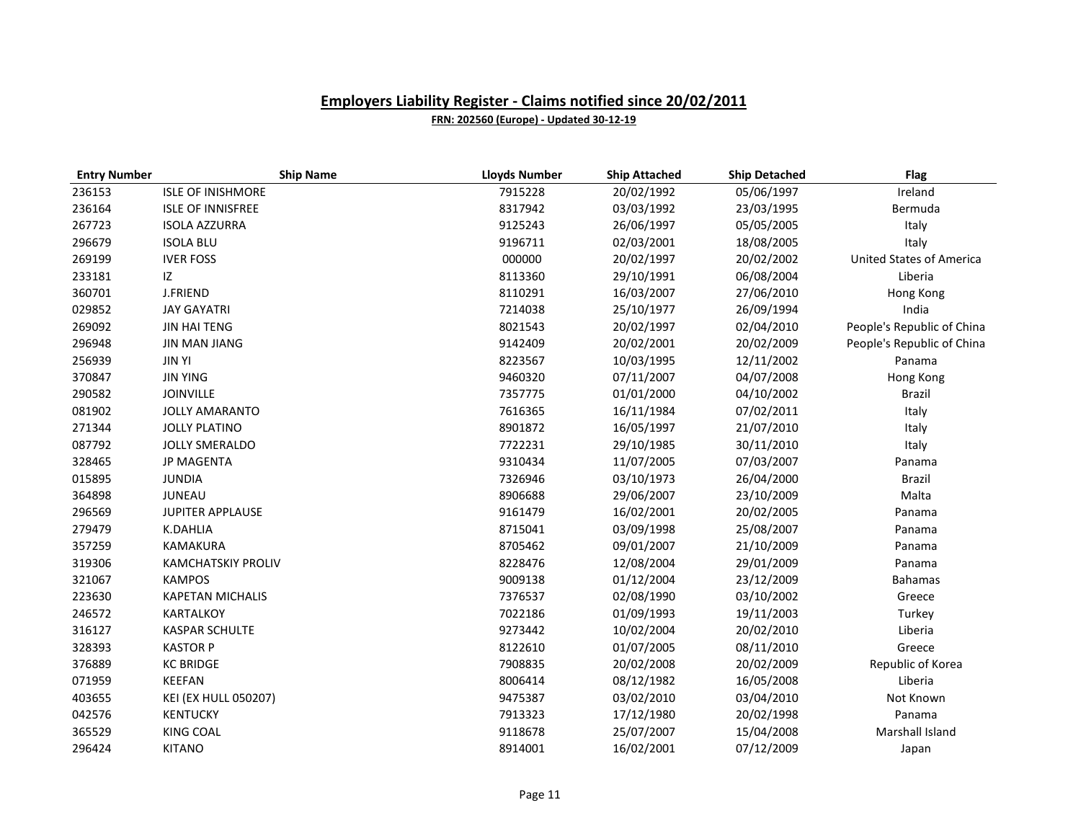| <b>Entry Number</b> | <b>Ship Name</b>            | <b>Lloyds Number</b> | <b>Ship Attached</b> | <b>Ship Detached</b> | <b>Flag</b>                     |
|---------------------|-----------------------------|----------------------|----------------------|----------------------|---------------------------------|
| 236153              | <b>ISLE OF INISHMORE</b>    | 7915228              | 20/02/1992           | 05/06/1997           | Ireland                         |
| 236164              | <b>ISLE OF INNISFREE</b>    | 8317942              | 03/03/1992           | 23/03/1995           | Bermuda                         |
| 267723              | <b>ISOLA AZZURRA</b>        | 9125243              | 26/06/1997           | 05/05/2005           | Italy                           |
| 296679              | <b>ISOLA BLU</b>            | 9196711              | 02/03/2001           | 18/08/2005           | Italy                           |
| 269199              | <b>IVER FOSS</b>            | 000000               | 20/02/1997           | 20/02/2002           | <b>United States of America</b> |
| 233181              | IZ.                         | 8113360              | 29/10/1991           | 06/08/2004           | Liberia                         |
| 360701              | <b>J.FRIEND</b>             | 8110291              | 16/03/2007           | 27/06/2010           | Hong Kong                       |
| 029852              | <b>JAY GAYATRI</b>          | 7214038              | 25/10/1977           | 26/09/1994           | India                           |
| 269092              | <b>JIN HAI TENG</b>         | 8021543              | 20/02/1997           | 02/04/2010           | People's Republic of China      |
| 296948              | <b>JIN MAN JIANG</b>        | 9142409              | 20/02/2001           | 20/02/2009           | People's Republic of China      |
| 256939              | <b>JIN YI</b>               | 8223567              | 10/03/1995           | 12/11/2002           | Panama                          |
| 370847              | <b>JIN YING</b>             | 9460320              | 07/11/2007           | 04/07/2008           | Hong Kong                       |
| 290582              | <b>JOINVILLE</b>            | 7357775              | 01/01/2000           | 04/10/2002           | <b>Brazil</b>                   |
| 081902              | <b>JOLLY AMARANTO</b>       | 7616365              | 16/11/1984           | 07/02/2011           | Italy                           |
| 271344              | <b>JOLLY PLATINO</b>        | 8901872              | 16/05/1997           | 21/07/2010           | Italy                           |
| 087792              | <b>JOLLY SMERALDO</b>       | 7722231              | 29/10/1985           | 30/11/2010           | Italy                           |
| 328465              | <b>JP MAGENTA</b>           | 9310434              | 11/07/2005           | 07/03/2007           | Panama                          |
| 015895              | <b>JUNDIA</b>               | 7326946              | 03/10/1973           | 26/04/2000           | <b>Brazil</b>                   |
| 364898              | <b>JUNEAU</b>               | 8906688              | 29/06/2007           | 23/10/2009           | Malta                           |
| 296569              | <b>JUPITER APPLAUSE</b>     | 9161479              | 16/02/2001           | 20/02/2005           | Panama                          |
| 279479              | <b>K.DAHLIA</b>             | 8715041              | 03/09/1998           | 25/08/2007           | Panama                          |
| 357259              | <b>KAMAKURA</b>             | 8705462              | 09/01/2007           | 21/10/2009           | Panama                          |
| 319306              | <b>KAMCHATSKIY PROLIV</b>   | 8228476              | 12/08/2004           | 29/01/2009           | Panama                          |
| 321067              | <b>KAMPOS</b>               | 9009138              | 01/12/2004           | 23/12/2009           | Bahamas                         |
| 223630              | <b>KAPETAN MICHALIS</b>     | 7376537              | 02/08/1990           | 03/10/2002           | Greece                          |
| 246572              | KARTALKOY                   | 7022186              | 01/09/1993           | 19/11/2003           | Turkey                          |
| 316127              | <b>KASPAR SCHULTE</b>       | 9273442              | 10/02/2004           | 20/02/2010           | Liberia                         |
| 328393              | <b>KASTOR P</b>             | 8122610              | 01/07/2005           | 08/11/2010           | Greece                          |
| 376889              | <b>KC BRIDGE</b>            | 7908835              | 20/02/2008           | 20/02/2009           | Republic of Korea               |
| 071959              | KEEFAN                      | 8006414              | 08/12/1982           | 16/05/2008           | Liberia                         |
| 403655              | <b>KEI (EX HULL 050207)</b> | 9475387              | 03/02/2010           | 03/04/2010           | Not Known                       |
| 042576              | <b>KENTUCKY</b>             | 7913323              | 17/12/1980           | 20/02/1998           | Panama                          |
| 365529              | <b>KING COAL</b>            | 9118678              | 25/07/2007           | 15/04/2008           | Marshall Island                 |
| 296424              | <b>KITANO</b>               | 8914001              | 16/02/2001           | 07/12/2009           | Japan                           |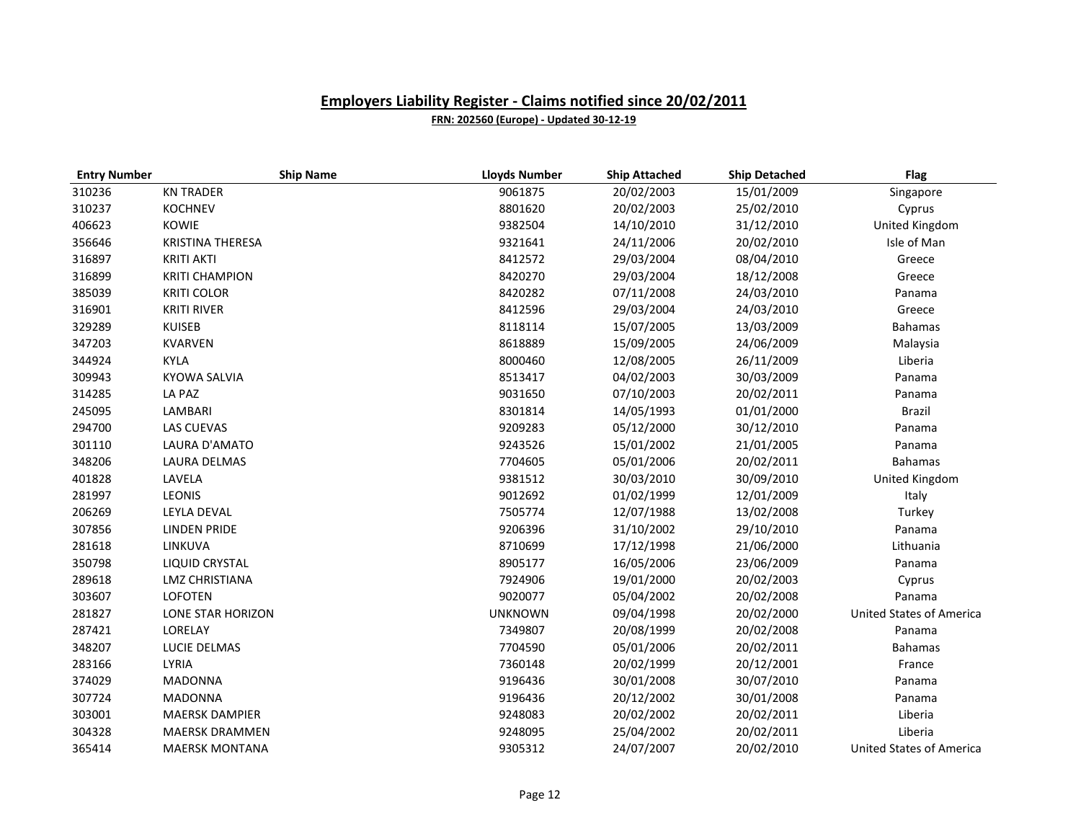| <b>Entry Number</b> | <b>Ship Name</b>        | <b>Lloyds Number</b> | <b>Ship Attached</b> | <b>Ship Detached</b> | <b>Flag</b>                     |
|---------------------|-------------------------|----------------------|----------------------|----------------------|---------------------------------|
| 310236              | <b>KN TRADER</b>        | 9061875              | 20/02/2003           | 15/01/2009           | Singapore                       |
| 310237              | <b>KOCHNEV</b>          | 8801620              | 20/02/2003           | 25/02/2010           | Cyprus                          |
| 406623              | <b>KOWIE</b>            | 9382504              | 14/10/2010           | 31/12/2010           | United Kingdom                  |
| 356646              | <b>KRISTINA THERESA</b> | 9321641              | 24/11/2006           | 20/02/2010           | Isle of Man                     |
| 316897              | <b>KRITI AKTI</b>       | 8412572              | 29/03/2004           | 08/04/2010           | Greece                          |
| 316899              | <b>KRITI CHAMPION</b>   | 8420270              | 29/03/2004           | 18/12/2008           | Greece                          |
| 385039              | <b>KRITI COLOR</b>      | 8420282              | 07/11/2008           | 24/03/2010           | Panama                          |
| 316901              | <b>KRITI RIVER</b>      | 8412596              | 29/03/2004           | 24/03/2010           | Greece                          |
| 329289              | <b>KUISEB</b>           | 8118114              | 15/07/2005           | 13/03/2009           | <b>Bahamas</b>                  |
| 347203              | <b>KVARVEN</b>          | 8618889              | 15/09/2005           | 24/06/2009           | Malaysia                        |
| 344924              | <b>KYLA</b>             | 8000460              | 12/08/2005           | 26/11/2009           | Liberia                         |
| 309943              | <b>KYOWA SALVIA</b>     | 8513417              | 04/02/2003           | 30/03/2009           | Panama                          |
| 314285              | LA PAZ                  | 9031650              | 07/10/2003           | 20/02/2011           | Panama                          |
| 245095              | LAMBARI                 | 8301814              | 14/05/1993           | 01/01/2000           | Brazil                          |
| 294700              | <b>LAS CUEVAS</b>       | 9209283              | 05/12/2000           | 30/12/2010           | Panama                          |
| 301110              | LAURA D'AMATO           | 9243526              | 15/01/2002           | 21/01/2005           | Panama                          |
| 348206              | <b>LAURA DELMAS</b>     | 7704605              | 05/01/2006           | 20/02/2011           | <b>Bahamas</b>                  |
| 401828              | LAVELA                  | 9381512              | 30/03/2010           | 30/09/2010           | United Kingdom                  |
| 281997              | <b>LEONIS</b>           | 9012692              | 01/02/1999           | 12/01/2009           | Italy                           |
| 206269              | <b>LEYLA DEVAL</b>      | 7505774              | 12/07/1988           | 13/02/2008           | Turkey                          |
| 307856              | <b>LINDEN PRIDE</b>     | 9206396              | 31/10/2002           | 29/10/2010           | Panama                          |
| 281618              | LINKUVA                 | 8710699              | 17/12/1998           | 21/06/2000           | Lithuania                       |
| 350798              | LIQUID CRYSTAL          | 8905177              | 16/05/2006           | 23/06/2009           | Panama                          |
| 289618              | <b>LMZ CHRISTIANA</b>   | 7924906              | 19/01/2000           | 20/02/2003           | Cyprus                          |
| 303607              | <b>LOFOTEN</b>          | 9020077              | 05/04/2002           | 20/02/2008           | Panama                          |
| 281827              | LONE STAR HORIZON       | <b>UNKNOWN</b>       | 09/04/1998           | 20/02/2000           | <b>United States of America</b> |
| 287421              | LORELAY                 | 7349807              | 20/08/1999           | 20/02/2008           | Panama                          |
| 348207              | LUCIE DELMAS            | 7704590              | 05/01/2006           | 20/02/2011           | <b>Bahamas</b>                  |
| 283166              | LYRIA                   | 7360148              | 20/02/1999           | 20/12/2001           | France                          |
| 374029              | <b>MADONNA</b>          | 9196436              | 30/01/2008           | 30/07/2010           | Panama                          |
| 307724              | <b>MADONNA</b>          | 9196436              | 20/12/2002           | 30/01/2008           | Panama                          |
| 303001              | <b>MAERSK DAMPIER</b>   | 9248083              | 20/02/2002           | 20/02/2011           | Liberia                         |
| 304328              | MAERSK DRAMMEN          | 9248095              | 25/04/2002           | 20/02/2011           | Liberia                         |
| 365414              | <b>MAERSK MONTANA</b>   | 9305312              | 24/07/2007           | 20/02/2010           | <b>United States of America</b> |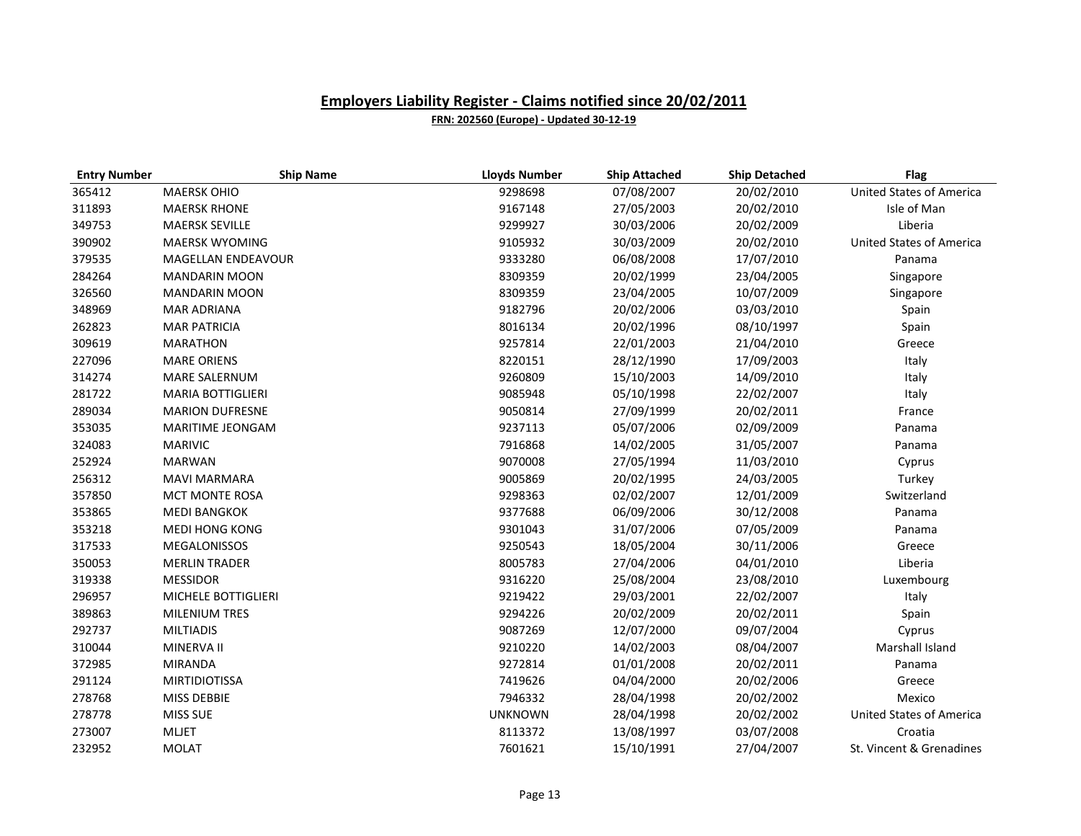| <b>Entry Number</b> | <b>Ship Name</b>         | <b>Lloyds Number</b> | <b>Ship Attached</b> | <b>Ship Detached</b> | <b>Flag</b>                     |
|---------------------|--------------------------|----------------------|----------------------|----------------------|---------------------------------|
| 365412              | <b>MAERSK OHIO</b>       | 9298698              | 07/08/2007           | 20/02/2010           | <b>United States of America</b> |
| 311893              | <b>MAERSK RHONE</b>      | 9167148              | 27/05/2003           | 20/02/2010           | Isle of Man                     |
| 349753              | <b>MAERSK SEVILLE</b>    | 9299927              | 30/03/2006           | 20/02/2009           | Liberia                         |
| 390902              | <b>MAERSK WYOMING</b>    | 9105932              | 30/03/2009           | 20/02/2010           | <b>United States of America</b> |
| 379535              | MAGELLAN ENDEAVOUR       | 9333280              | 06/08/2008           | 17/07/2010           | Panama                          |
| 284264              | <b>MANDARIN MOON</b>     | 8309359              | 20/02/1999           | 23/04/2005           | Singapore                       |
| 326560              | <b>MANDARIN MOON</b>     | 8309359              | 23/04/2005           | 10/07/2009           | Singapore                       |
| 348969              | <b>MAR ADRIANA</b>       | 9182796              | 20/02/2006           | 03/03/2010           | Spain                           |
| 262823              | <b>MAR PATRICIA</b>      | 8016134              | 20/02/1996           | 08/10/1997           | Spain                           |
| 309619              | <b>MARATHON</b>          | 9257814              | 22/01/2003           | 21/04/2010           | Greece                          |
| 227096              | <b>MARE ORIENS</b>       | 8220151              | 28/12/1990           | 17/09/2003           | Italy                           |
| 314274              | <b>MARE SALERNUM</b>     | 9260809              | 15/10/2003           | 14/09/2010           | Italy                           |
| 281722              | <b>MARIA BOTTIGLIERI</b> | 9085948              | 05/10/1998           | 22/02/2007           | Italy                           |
| 289034              | <b>MARION DUFRESNE</b>   | 9050814              | 27/09/1999           | 20/02/2011           | France                          |
| 353035              | MARITIME JEONGAM         | 9237113              | 05/07/2006           | 02/09/2009           | Panama                          |
| 324083              | <b>MARIVIC</b>           | 7916868              | 14/02/2005           | 31/05/2007           | Panama                          |
| 252924              | <b>MARWAN</b>            | 9070008              | 27/05/1994           | 11/03/2010           | Cyprus                          |
| 256312              | <b>MAVI MARMARA</b>      | 9005869              | 20/02/1995           | 24/03/2005           | Turkey                          |
| 357850              | <b>MCT MONTE ROSA</b>    | 9298363              | 02/02/2007           | 12/01/2009           | Switzerland                     |
| 353865              | <b>MEDI BANGKOK</b>      | 9377688              | 06/09/2006           | 30/12/2008           | Panama                          |
| 353218              | <b>MEDI HONG KONG</b>    | 9301043              | 31/07/2006           | 07/05/2009           | Panama                          |
| 317533              | <b>MEGALONISSOS</b>      | 9250543              | 18/05/2004           | 30/11/2006           | Greece                          |
| 350053              | <b>MERLIN TRADER</b>     | 8005783              | 27/04/2006           | 04/01/2010           | Liberia                         |
| 319338              | <b>MESSIDOR</b>          | 9316220              | 25/08/2004           | 23/08/2010           | Luxembourg                      |
| 296957              | MICHELE BOTTIGLIERI      | 9219422              | 29/03/2001           | 22/02/2007           | Italy                           |
| 389863              | <b>MILENIUM TRES</b>     | 9294226              | 20/02/2009           | 20/02/2011           | Spain                           |
| 292737              | <b>MILTIADIS</b>         | 9087269              | 12/07/2000           | 09/07/2004           | Cyprus                          |
| 310044              | MINERVA II               | 9210220              | 14/02/2003           | 08/04/2007           | Marshall Island                 |
| 372985              | <b>MIRANDA</b>           | 9272814              | 01/01/2008           | 20/02/2011           | Panama                          |
| 291124              | <b>MIRTIDIOTISSA</b>     | 7419626              | 04/04/2000           | 20/02/2006           | Greece                          |
| 278768              | MISS DEBBIE              | 7946332              | 28/04/1998           | 20/02/2002           | Mexico                          |
| 278778              | MISS SUE                 | <b>UNKNOWN</b>       | 28/04/1998           | 20/02/2002           | <b>United States of America</b> |
| 273007              | <b>MLJET</b>             | 8113372              | 13/08/1997           | 03/07/2008           | Croatia                         |
| 232952              | <b>MOLAT</b>             | 7601621              | 15/10/1991           | 27/04/2007           | St. Vincent & Grenadines        |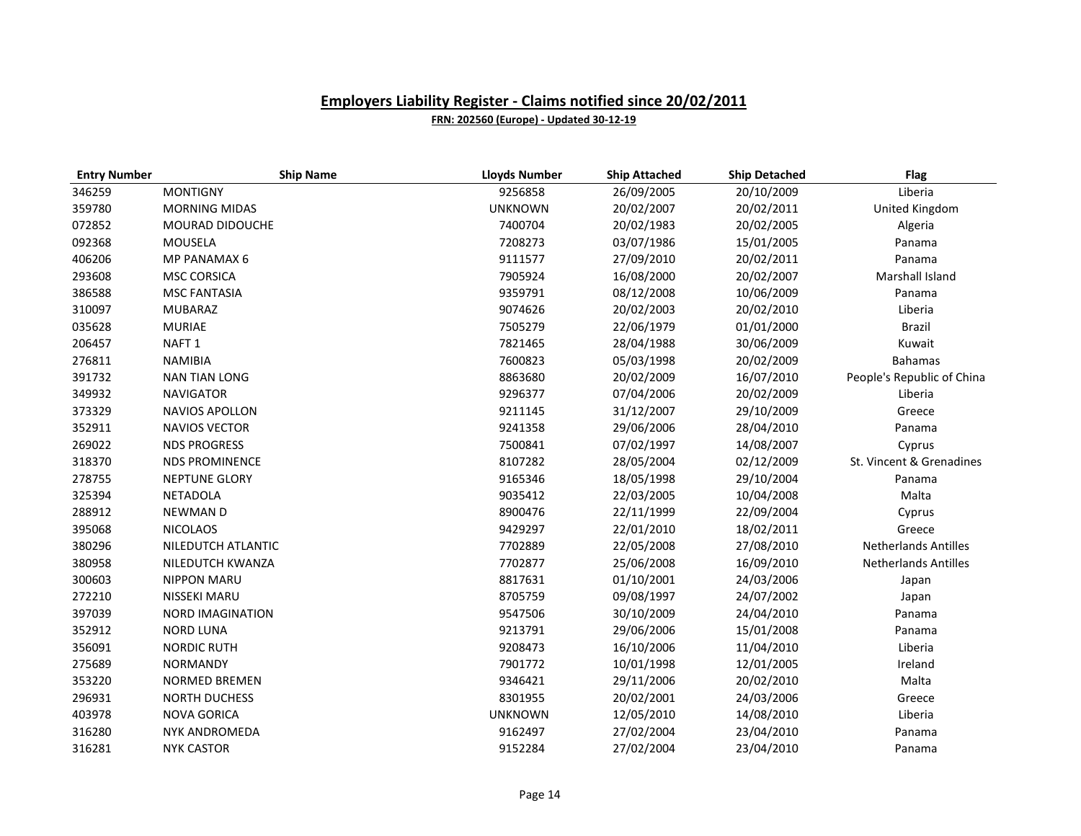| <b>Entry Number</b> | <b>Ship Name</b>        | <b>Lloyds Number</b> | <b>Ship Attached</b> | <b>Ship Detached</b> | <b>Flag</b>                 |
|---------------------|-------------------------|----------------------|----------------------|----------------------|-----------------------------|
| 346259              | <b>MONTIGNY</b>         | 9256858              | 26/09/2005           | 20/10/2009           | Liberia                     |
| 359780              | <b>MORNING MIDAS</b>    | <b>UNKNOWN</b>       | 20/02/2007           | 20/02/2011           | United Kingdom              |
| 072852              | <b>MOURAD DIDOUCHE</b>  | 7400704              | 20/02/1983           | 20/02/2005           | Algeria                     |
| 092368              | MOUSELA                 | 7208273              | 03/07/1986           | 15/01/2005           | Panama                      |
| 406206              | <b>MP PANAMAX 6</b>     | 9111577              | 27/09/2010           | 20/02/2011           | Panama                      |
| 293608              | <b>MSC CORSICA</b>      | 7905924              | 16/08/2000           | 20/02/2007           | Marshall Island             |
| 386588              | <b>MSC FANTASIA</b>     | 9359791              | 08/12/2008           | 10/06/2009           | Panama                      |
| 310097              | <b>MUBARAZ</b>          | 9074626              | 20/02/2003           | 20/02/2010           | Liberia                     |
| 035628              | <b>MURIAE</b>           | 7505279              | 22/06/1979           | 01/01/2000           | <b>Brazil</b>               |
| 206457              | NAFT <sub>1</sub>       | 7821465              | 28/04/1988           | 30/06/2009           | Kuwait                      |
| 276811              | <b>NAMIBIA</b>          | 7600823              | 05/03/1998           | 20/02/2009           | <b>Bahamas</b>              |
| 391732              | <b>NAN TIAN LONG</b>    | 8863680              | 20/02/2009           | 16/07/2010           | People's Republic of China  |
| 349932              | <b>NAVIGATOR</b>        | 9296377              | 07/04/2006           | 20/02/2009           | Liberia                     |
| 373329              | <b>NAVIOS APOLLON</b>   | 9211145              | 31/12/2007           | 29/10/2009           | Greece                      |
| 352911              | <b>NAVIOS VECTOR</b>    | 9241358              | 29/06/2006           | 28/04/2010           | Panama                      |
| 269022              | <b>NDS PROGRESS</b>     | 7500841              | 07/02/1997           | 14/08/2007           | Cyprus                      |
| 318370              | <b>NDS PROMINENCE</b>   | 8107282              | 28/05/2004           | 02/12/2009           | St. Vincent & Grenadines    |
| 278755              | <b>NEPTUNE GLORY</b>    | 9165346              | 18/05/1998           | 29/10/2004           | Panama                      |
| 325394              | <b>NETADOLA</b>         | 9035412              | 22/03/2005           | 10/04/2008           | Malta                       |
| 288912              | <b>NEWMAND</b>          | 8900476              | 22/11/1999           | 22/09/2004           | Cyprus                      |
| 395068              | <b>NICOLAOS</b>         | 9429297              | 22/01/2010           | 18/02/2011           | Greece                      |
| 380296              | NILEDUTCH ATLANTIC      | 7702889              | 22/05/2008           | 27/08/2010           | <b>Netherlands Antilles</b> |
| 380958              | NILEDUTCH KWANZA        | 7702877              | 25/06/2008           | 16/09/2010           | <b>Netherlands Antilles</b> |
| 300603              | <b>NIPPON MARU</b>      | 8817631              | 01/10/2001           | 24/03/2006           | Japan                       |
| 272210              | NISSEKI MARU            | 8705759              | 09/08/1997           | 24/07/2002           | Japan                       |
| 397039              | <b>NORD IMAGINATION</b> | 9547506              | 30/10/2009           | 24/04/2010           | Panama                      |
| 352912              | <b>NORD LUNA</b>        | 9213791              | 29/06/2006           | 15/01/2008           | Panama                      |
| 356091              | <b>NORDIC RUTH</b>      | 9208473              | 16/10/2006           | 11/04/2010           | Liberia                     |
| 275689              | <b>NORMANDY</b>         | 7901772              | 10/01/1998           | 12/01/2005           | Ireland                     |
| 353220              | <b>NORMED BREMEN</b>    | 9346421              | 29/11/2006           | 20/02/2010           | Malta                       |
| 296931              | <b>NORTH DUCHESS</b>    | 8301955              | 20/02/2001           | 24/03/2006           | Greece                      |
| 403978              | <b>NOVA GORICA</b>      | <b>UNKNOWN</b>       | 12/05/2010           | 14/08/2010           | Liberia                     |
| 316280              | NYK ANDROMEDA           | 9162497              | 27/02/2004           | 23/04/2010           | Panama                      |
| 316281              | <b>NYK CASTOR</b>       | 9152284              | 27/02/2004           | 23/04/2010           | Panama                      |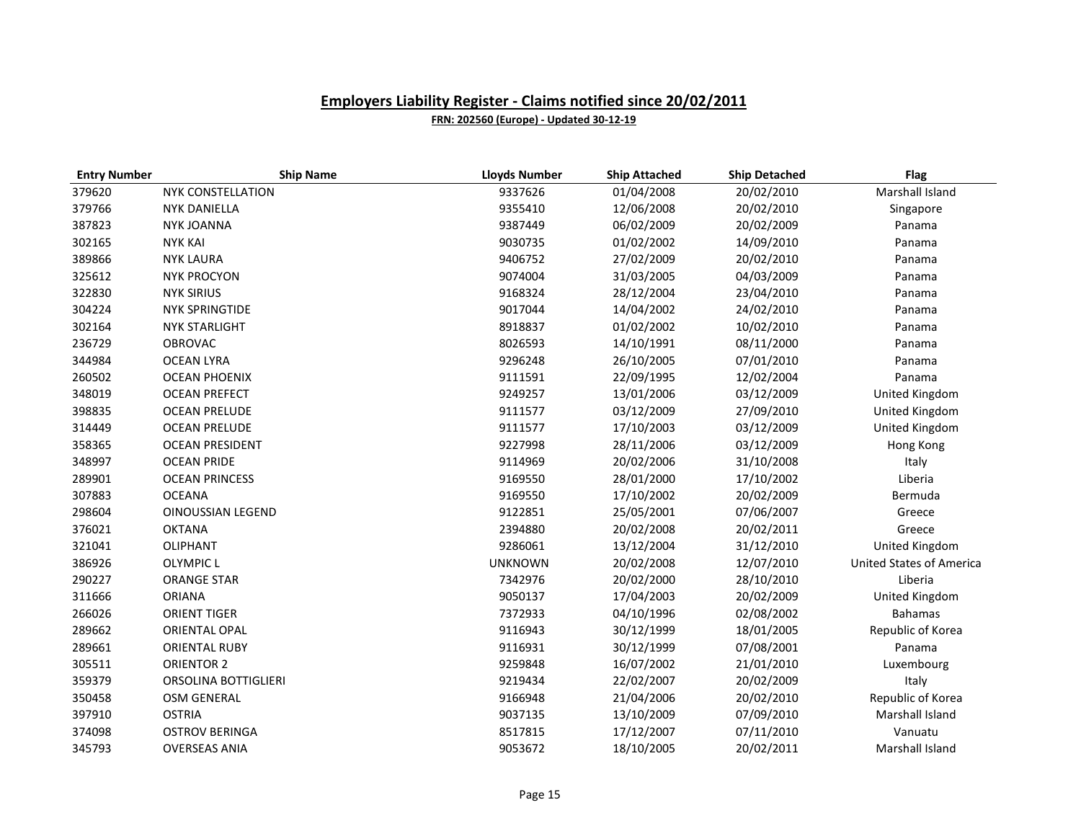| <b>Entry Number</b> | <b>Ship Name</b>         | <b>Lloyds Number</b> | <b>Ship Attached</b> | <b>Ship Detached</b> | <b>Flag</b>                     |
|---------------------|--------------------------|----------------------|----------------------|----------------------|---------------------------------|
| 379620              | <b>NYK CONSTELLATION</b> | 9337626              | 01/04/2008           | 20/02/2010           | Marshall Island                 |
| 379766              | <b>NYK DANIELLA</b>      | 9355410              | 12/06/2008           | 20/02/2010           | Singapore                       |
| 387823              | <b>NYK JOANNA</b>        | 9387449              | 06/02/2009           | 20/02/2009           | Panama                          |
| 302165              | <b>NYK KAI</b>           | 9030735              | 01/02/2002           | 14/09/2010           | Panama                          |
| 389866              | <b>NYK LAURA</b>         | 9406752              | 27/02/2009           | 20/02/2010           | Panama                          |
| 325612              | <b>NYK PROCYON</b>       | 9074004              | 31/03/2005           | 04/03/2009           | Panama                          |
| 322830              | <b>NYK SIRIUS</b>        | 9168324              | 28/12/2004           | 23/04/2010           | Panama                          |
| 304224              | <b>NYK SPRINGTIDE</b>    | 9017044              | 14/04/2002           | 24/02/2010           | Panama                          |
| 302164              | <b>NYK STARLIGHT</b>     | 8918837              | 01/02/2002           | 10/02/2010           | Panama                          |
| 236729              | <b>OBROVAC</b>           | 8026593              | 14/10/1991           | 08/11/2000           | Panama                          |
| 344984              | <b>OCEAN LYRA</b>        | 9296248              | 26/10/2005           | 07/01/2010           | Panama                          |
| 260502              | <b>OCEAN PHOENIX</b>     | 9111591              | 22/09/1995           | 12/02/2004           | Panama                          |
| 348019              | <b>OCEAN PREFECT</b>     | 9249257              | 13/01/2006           | 03/12/2009           | United Kingdom                  |
| 398835              | <b>OCEAN PRELUDE</b>     | 9111577              | 03/12/2009           | 27/09/2010           | United Kingdom                  |
| 314449              | <b>OCEAN PRELUDE</b>     | 9111577              | 17/10/2003           | 03/12/2009           | United Kingdom                  |
| 358365              | <b>OCEAN PRESIDENT</b>   | 9227998              | 28/11/2006           | 03/12/2009           | Hong Kong                       |
| 348997              | <b>OCEAN PRIDE</b>       | 9114969              | 20/02/2006           | 31/10/2008           | Italy                           |
| 289901              | <b>OCEAN PRINCESS</b>    | 9169550              | 28/01/2000           | 17/10/2002           | Liberia                         |
| 307883              | <b>OCEANA</b>            | 9169550              | 17/10/2002           | 20/02/2009           | Bermuda                         |
| 298604              | <b>OINOUSSIAN LEGEND</b> | 9122851              | 25/05/2001           | 07/06/2007           | Greece                          |
| 376021              | <b>OKTANA</b>            | 2394880              | 20/02/2008           | 20/02/2011           | Greece                          |
| 321041              | <b>OLIPHANT</b>          | 9286061              | 13/12/2004           | 31/12/2010           | United Kingdom                  |
| 386926              | <b>OLYMPIC L</b>         | <b>UNKNOWN</b>       | 20/02/2008           | 12/07/2010           | <b>United States of America</b> |
| 290227              | <b>ORANGE STAR</b>       | 7342976              | 20/02/2000           | 28/10/2010           | Liberia                         |
| 311666              | <b>ORIANA</b>            | 9050137              | 17/04/2003           | 20/02/2009           | United Kingdom                  |
| 266026              | <b>ORIENT TIGER</b>      | 7372933              | 04/10/1996           | 02/08/2002           | <b>Bahamas</b>                  |
| 289662              | ORIENTAL OPAL            | 9116943              | 30/12/1999           | 18/01/2005           | Republic of Korea               |
| 289661              | <b>ORIENTAL RUBY</b>     | 9116931              | 30/12/1999           | 07/08/2001           | Panama                          |
| 305511              | <b>ORIENTOR 2</b>        | 9259848              | 16/07/2002           | 21/01/2010           | Luxembourg                      |
| 359379              | ORSOLINA BOTTIGLIERI     | 9219434              | 22/02/2007           | 20/02/2009           | Italy                           |
| 350458              | OSM GENERAL              | 9166948              | 21/04/2006           | 20/02/2010           | Republic of Korea               |
| 397910              | <b>OSTRIA</b>            | 9037135              | 13/10/2009           | 07/09/2010           | Marshall Island                 |
| 374098              | <b>OSTROV BERINGA</b>    | 8517815              | 17/12/2007           | 07/11/2010           | Vanuatu                         |
| 345793              | <b>OVERSEAS ANIA</b>     | 9053672              | 18/10/2005           | 20/02/2011           | Marshall Island                 |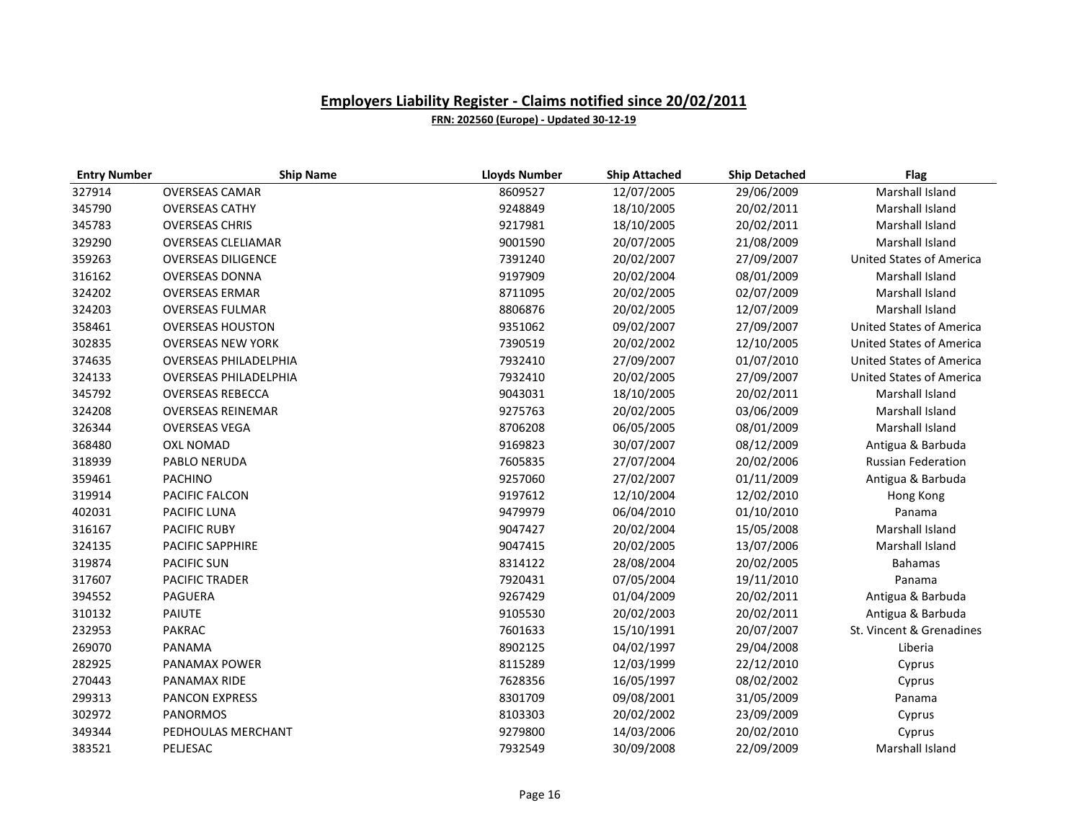| <b>Entry Number</b> | <b>Ship Name</b>             | <b>Lloyds Number</b> | <b>Ship Attached</b> | <b>Ship Detached</b> | Flag                            |
|---------------------|------------------------------|----------------------|----------------------|----------------------|---------------------------------|
| 327914              | <b>OVERSEAS CAMAR</b>        | 8609527              | 12/07/2005           | 29/06/2009           | Marshall Island                 |
| 345790              | <b>OVERSEAS CATHY</b>        | 9248849              | 18/10/2005           | 20/02/2011           | Marshall Island                 |
| 345783              | <b>OVERSEAS CHRIS</b>        | 9217981              | 18/10/2005           | 20/02/2011           | Marshall Island                 |
| 329290              | <b>OVERSEAS CLELIAMAR</b>    | 9001590              | 20/07/2005           | 21/08/2009           | Marshall Island                 |
| 359263              | <b>OVERSEAS DILIGENCE</b>    | 7391240              | 20/02/2007           | 27/09/2007           | <b>United States of America</b> |
| 316162              | <b>OVERSEAS DONNA</b>        | 9197909              | 20/02/2004           | 08/01/2009           | Marshall Island                 |
| 324202              | <b>OVERSEAS ERMAR</b>        | 8711095              | 20/02/2005           | 02/07/2009           | Marshall Island                 |
| 324203              | <b>OVERSEAS FULMAR</b>       | 8806876              | 20/02/2005           | 12/07/2009           | Marshall Island                 |
| 358461              | <b>OVERSEAS HOUSTON</b>      | 9351062              | 09/02/2007           | 27/09/2007           | <b>United States of America</b> |
| 302835              | <b>OVERSEAS NEW YORK</b>     | 7390519              | 20/02/2002           | 12/10/2005           | <b>United States of America</b> |
| 374635              | <b>OVERSEAS PHILADELPHIA</b> | 7932410              | 27/09/2007           | 01/07/2010           | <b>United States of America</b> |
| 324133              | <b>OVERSEAS PHILADELPHIA</b> | 7932410              | 20/02/2005           | 27/09/2007           | <b>United States of America</b> |
| 345792              | <b>OVERSEAS REBECCA</b>      | 9043031              | 18/10/2005           | 20/02/2011           | Marshall Island                 |
| 324208              | <b>OVERSEAS REINEMAR</b>     | 9275763              | 20/02/2005           | 03/06/2009           | Marshall Island                 |
| 326344              | <b>OVERSEAS VEGA</b>         | 8706208              | 06/05/2005           | 08/01/2009           | Marshall Island                 |
| 368480              | <b>OXL NOMAD</b>             | 9169823              | 30/07/2007           | 08/12/2009           | Antigua & Barbuda               |
| 318939              | PABLO NERUDA                 | 7605835              | 27/07/2004           | 20/02/2006           | <b>Russian Federation</b>       |
| 359461              | <b>PACHINO</b>               | 9257060              | 27/02/2007           | 01/11/2009           | Antigua & Barbuda               |
| 319914              | PACIFIC FALCON               | 9197612              | 12/10/2004           | 12/02/2010           | Hong Kong                       |
| 402031              | PACIFIC LUNA                 | 9479979              | 06/04/2010           | 01/10/2010           | Panama                          |
| 316167              | <b>PACIFIC RUBY</b>          | 9047427              | 20/02/2004           | 15/05/2008           | Marshall Island                 |
| 324135              | PACIFIC SAPPHIRE             | 9047415              | 20/02/2005           | 13/07/2006           | Marshall Island                 |
| 319874              | <b>PACIFIC SUN</b>           | 8314122              | 28/08/2004           | 20/02/2005           | <b>Bahamas</b>                  |
| 317607              | <b>PACIFIC TRADER</b>        | 7920431              | 07/05/2004           | 19/11/2010           | Panama                          |
| 394552              | PAGUERA                      | 9267429              | 01/04/2009           | 20/02/2011           | Antigua & Barbuda               |
| 310132              | PAIUTE                       | 9105530              | 20/02/2003           | 20/02/2011           | Antigua & Barbuda               |
| 232953              | <b>PAKRAC</b>                | 7601633              | 15/10/1991           | 20/07/2007           | St. Vincent & Grenadines        |
| 269070              | PANAMA                       | 8902125              | 04/02/1997           | 29/04/2008           | Liberia                         |
| 282925              | PANAMAX POWER                | 8115289              | 12/03/1999           | 22/12/2010           | Cyprus                          |
| 270443              | PANAMAX RIDE                 | 7628356              | 16/05/1997           | 08/02/2002           | Cyprus                          |
| 299313              | <b>PANCON EXPRESS</b>        | 8301709              | 09/08/2001           | 31/05/2009           | Panama                          |
| 302972              | <b>PANORMOS</b>              | 8103303              | 20/02/2002           | 23/09/2009           | Cyprus                          |
| 349344              | PEDHOULAS MERCHANT           | 9279800              | 14/03/2006           | 20/02/2010           | Cyprus                          |
| 383521              | PELJESAC                     | 7932549              | 30/09/2008           | 22/09/2009           | Marshall Island                 |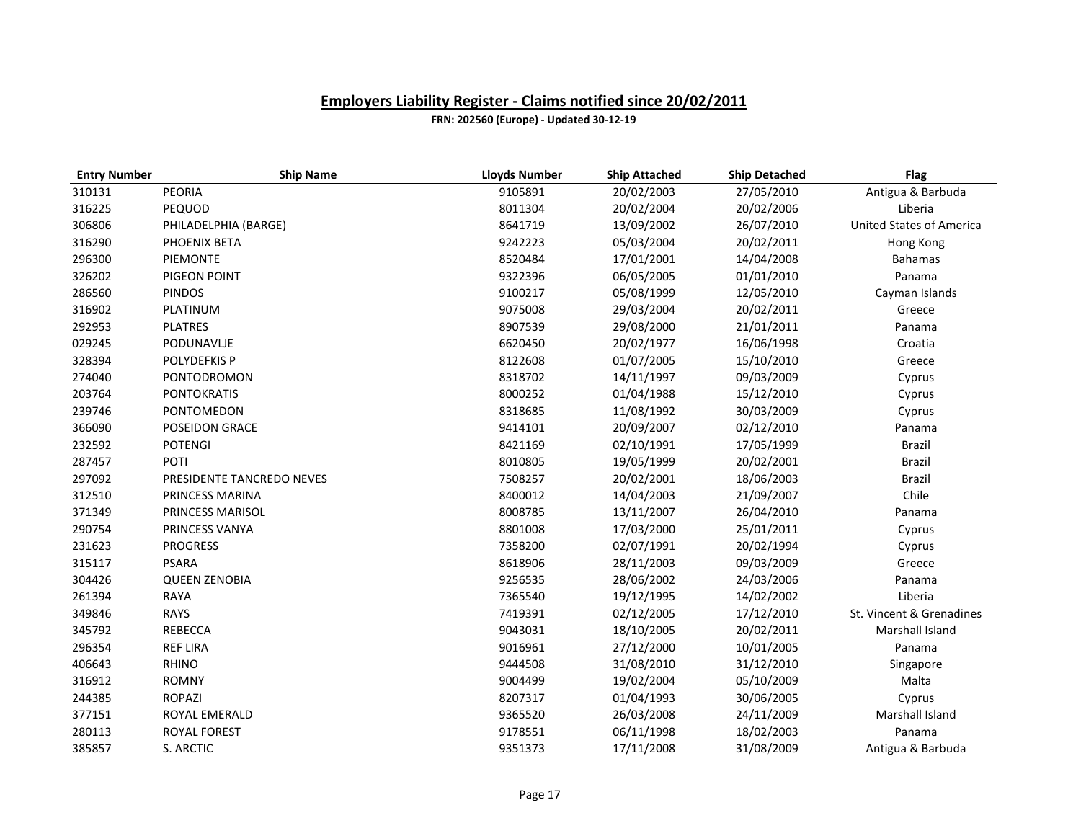| <b>Entry Number</b> | <b>Ship Name</b>          | <b>Lloyds Number</b> | <b>Ship Attached</b> | <b>Ship Detached</b> | <b>Flag</b>                     |
|---------------------|---------------------------|----------------------|----------------------|----------------------|---------------------------------|
| 310131              | PEORIA                    | 9105891              | 20/02/2003           | 27/05/2010           | Antigua & Barbuda               |
| 316225              | PEQUOD                    | 8011304              | 20/02/2004           | 20/02/2006           | Liberia                         |
| 306806              | PHILADELPHIA (BARGE)      | 8641719              | 13/09/2002           | 26/07/2010           | <b>United States of America</b> |
| 316290              | PHOENIX BETA              | 9242223              | 05/03/2004           | 20/02/2011           | Hong Kong                       |
| 296300              | <b>PIEMONTE</b>           | 8520484              | 17/01/2001           | 14/04/2008           | <b>Bahamas</b>                  |
| 326202              | PIGEON POINT              | 9322396              | 06/05/2005           | 01/01/2010           | Panama                          |
| 286560              | <b>PINDOS</b>             | 9100217              | 05/08/1999           | 12/05/2010           | Cayman Islands                  |
| 316902              | <b>PLATINUM</b>           | 9075008              | 29/03/2004           | 20/02/2011           | Greece                          |
| 292953              | <b>PLATRES</b>            | 8907539              | 29/08/2000           | 21/01/2011           | Panama                          |
| 029245              | PODUNAVLJE                | 6620450              | 20/02/1977           | 16/06/1998           | Croatia                         |
| 328394              | POLYDEFKIS P              | 8122608              | 01/07/2005           | 15/10/2010           | Greece                          |
| 274040              | PONTODROMON               | 8318702              | 14/11/1997           | 09/03/2009           | Cyprus                          |
| 203764              | <b>PONTOKRATIS</b>        | 8000252              | 01/04/1988           | 15/12/2010           | Cyprus                          |
| 239746              | PONTOMEDON                | 8318685              | 11/08/1992           | 30/03/2009           | Cyprus                          |
| 366090              | <b>POSEIDON GRACE</b>     | 9414101              | 20/09/2007           | 02/12/2010           | Panama                          |
| 232592              | <b>POTENGI</b>            | 8421169              | 02/10/1991           | 17/05/1999           | <b>Brazil</b>                   |
| 287457              | POTI                      | 8010805              | 19/05/1999           | 20/02/2001           | <b>Brazil</b>                   |
| 297092              | PRESIDENTE TANCREDO NEVES | 7508257              | 20/02/2001           | 18/06/2003           | <b>Brazil</b>                   |
| 312510              | PRINCESS MARINA           | 8400012              | 14/04/2003           | 21/09/2007           | Chile                           |
| 371349              | PRINCESS MARISOL          | 8008785              | 13/11/2007           | 26/04/2010           | Panama                          |
| 290754              | PRINCESS VANYA            | 8801008              | 17/03/2000           | 25/01/2011           | Cyprus                          |
| 231623              | <b>PROGRESS</b>           | 7358200              | 02/07/1991           | 20/02/1994           | Cyprus                          |
| 315117              | <b>PSARA</b>              | 8618906              | 28/11/2003           | 09/03/2009           | Greece                          |
| 304426              | <b>QUEEN ZENOBIA</b>      | 9256535              | 28/06/2002           | 24/03/2006           | Panama                          |
| 261394              | RAYA                      | 7365540              | 19/12/1995           | 14/02/2002           | Liberia                         |
| 349846              | <b>RAYS</b>               | 7419391              | 02/12/2005           | 17/12/2010           | St. Vincent & Grenadines        |
| 345792              | REBECCA                   | 9043031              | 18/10/2005           | 20/02/2011           | Marshall Island                 |
| 296354              | <b>REF LIRA</b>           | 9016961              | 27/12/2000           | 10/01/2005           | Panama                          |
| 406643              | <b>RHINO</b>              | 9444508              | 31/08/2010           | 31/12/2010           | Singapore                       |
| 316912              | <b>ROMNY</b>              | 9004499              | 19/02/2004           | 05/10/2009           | Malta                           |
| 244385              | <b>ROPAZI</b>             | 8207317              | 01/04/1993           | 30/06/2005           | Cyprus                          |
| 377151              | ROYAL EMERALD             | 9365520              | 26/03/2008           | 24/11/2009           | Marshall Island                 |
| 280113              | ROYAL FOREST              | 9178551              | 06/11/1998           | 18/02/2003           | Panama                          |
| 385857              | S. ARCTIC                 | 9351373              | 17/11/2008           | 31/08/2009           | Antigua & Barbuda               |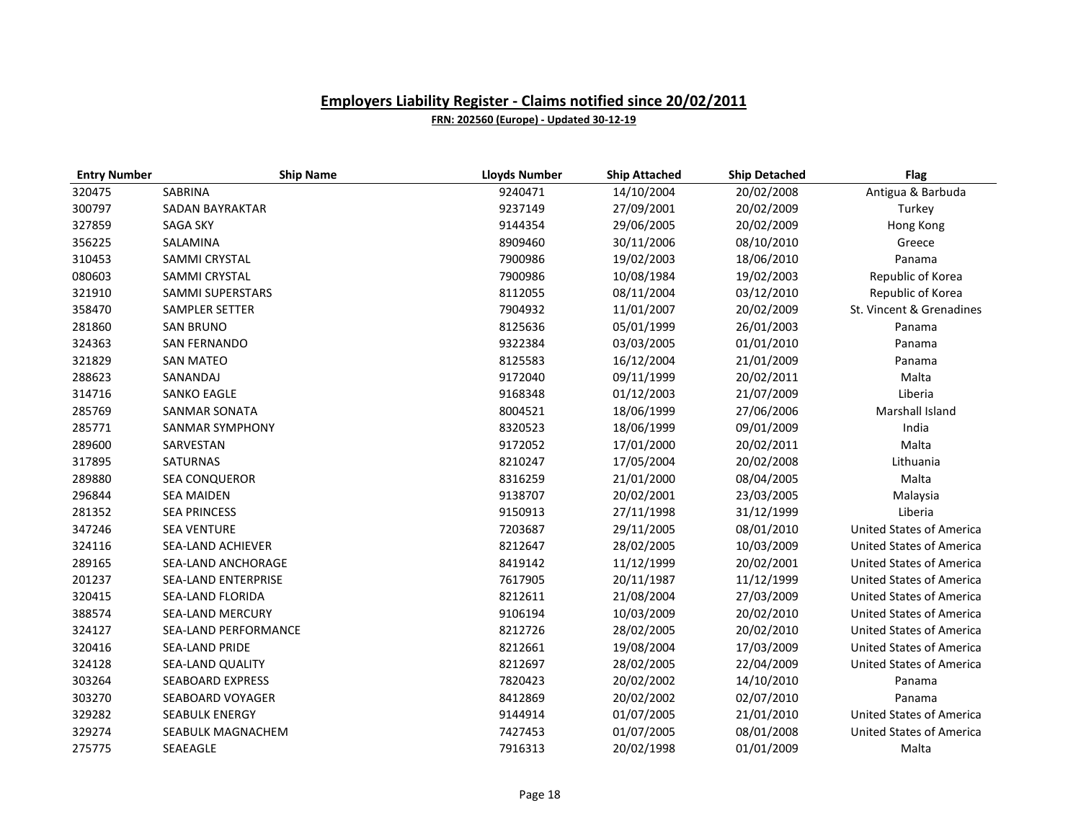| <b>Entry Number</b> | <b>Ship Name</b>           | <b>Lloyds Number</b> | <b>Ship Attached</b> | <b>Ship Detached</b> | <b>Flag</b>                     |
|---------------------|----------------------------|----------------------|----------------------|----------------------|---------------------------------|
| 320475              | SABRINA                    | 9240471              | 14/10/2004           | 20/02/2008           | Antigua & Barbuda               |
| 300797              | SADAN BAYRAKTAR            | 9237149              | 27/09/2001           | 20/02/2009           | Turkey                          |
| 327859              | <b>SAGA SKY</b>            | 9144354              | 29/06/2005           | 20/02/2009           | Hong Kong                       |
| 356225              | SALAMINA                   | 8909460              | 30/11/2006           | 08/10/2010           | Greece                          |
| 310453              | SAMMI CRYSTAL              | 7900986              | 19/02/2003           | 18/06/2010           | Panama                          |
| 080603              | SAMMI CRYSTAL              | 7900986              | 10/08/1984           | 19/02/2003           | Republic of Korea               |
| 321910              | <b>SAMMI SUPERSTARS</b>    | 8112055              | 08/11/2004           | 03/12/2010           | Republic of Korea               |
| 358470              | <b>SAMPLER SETTER</b>      | 7904932              | 11/01/2007           | 20/02/2009           | St. Vincent & Grenadines        |
| 281860              | <b>SAN BRUNO</b>           | 8125636              | 05/01/1999           | 26/01/2003           | Panama                          |
| 324363              | <b>SAN FERNANDO</b>        | 9322384              | 03/03/2005           | 01/01/2010           | Panama                          |
| 321829              | <b>SAN MATEO</b>           | 8125583              | 16/12/2004           | 21/01/2009           | Panama                          |
| 288623              | SANANDAJ                   | 9172040              | 09/11/1999           | 20/02/2011           | Malta                           |
| 314716              | <b>SANKO EAGLE</b>         | 9168348              | 01/12/2003           | 21/07/2009           | Liberia                         |
| 285769              | <b>SANMAR SONATA</b>       | 8004521              | 18/06/1999           | 27/06/2006           | Marshall Island                 |
| 285771              | <b>SANMAR SYMPHONY</b>     | 8320523              | 18/06/1999           | 09/01/2009           | India                           |
| 289600              | SARVESTAN                  | 9172052              | 17/01/2000           | 20/02/2011           | Malta                           |
| 317895              | <b>SATURNAS</b>            | 8210247              | 17/05/2004           | 20/02/2008           | Lithuania                       |
| 289880              | <b>SEA CONQUEROR</b>       | 8316259              | 21/01/2000           | 08/04/2005           | Malta                           |
| 296844              | <b>SEA MAIDEN</b>          | 9138707              | 20/02/2001           | 23/03/2005           | Malaysia                        |
| 281352              | <b>SEA PRINCESS</b>        | 9150913              | 27/11/1998           | 31/12/1999           | Liberia                         |
| 347246              | <b>SEA VENTURE</b>         | 7203687              | 29/11/2005           | 08/01/2010           | <b>United States of America</b> |
| 324116              | SEA-LAND ACHIEVER          | 8212647              | 28/02/2005           | 10/03/2009           | <b>United States of America</b> |
| 289165              | SEA-LAND ANCHORAGE         | 8419142              | 11/12/1999           | 20/02/2001           | <b>United States of America</b> |
| 201237              | <b>SEA-LAND ENTERPRISE</b> | 7617905              | 20/11/1987           | 11/12/1999           | <b>United States of America</b> |
| 320415              | SEA-LAND FLORIDA           | 8212611              | 21/08/2004           | 27/03/2009           | <b>United States of America</b> |
| 388574              | <b>SEA-LAND MERCURY</b>    | 9106194              | 10/03/2009           | 20/02/2010           | <b>United States of America</b> |
| 324127              | SEA-LAND PERFORMANCE       | 8212726              | 28/02/2005           | 20/02/2010           | United States of America        |
| 320416              | <b>SEA-LAND PRIDE</b>      | 8212661              | 19/08/2004           | 17/03/2009           | <b>United States of America</b> |
| 324128              | SEA-LAND QUALITY           | 8212697              | 28/02/2005           | 22/04/2009           | <b>United States of America</b> |
| 303264              | <b>SEABOARD EXPRESS</b>    | 7820423              | 20/02/2002           | 14/10/2010           | Panama                          |
| 303270              | <b>SEABOARD VOYAGER</b>    | 8412869              | 20/02/2002           | 02/07/2010           | Panama                          |
| 329282              | <b>SEABULK ENERGY</b>      | 9144914              | 01/07/2005           | 21/01/2010           | <b>United States of America</b> |
| 329274              | SEABULK MAGNACHEM          | 7427453              | 01/07/2005           | 08/01/2008           | <b>United States of America</b> |
| 275775              | SEAEAGLE                   | 7916313              | 20/02/1998           | 01/01/2009           | Malta                           |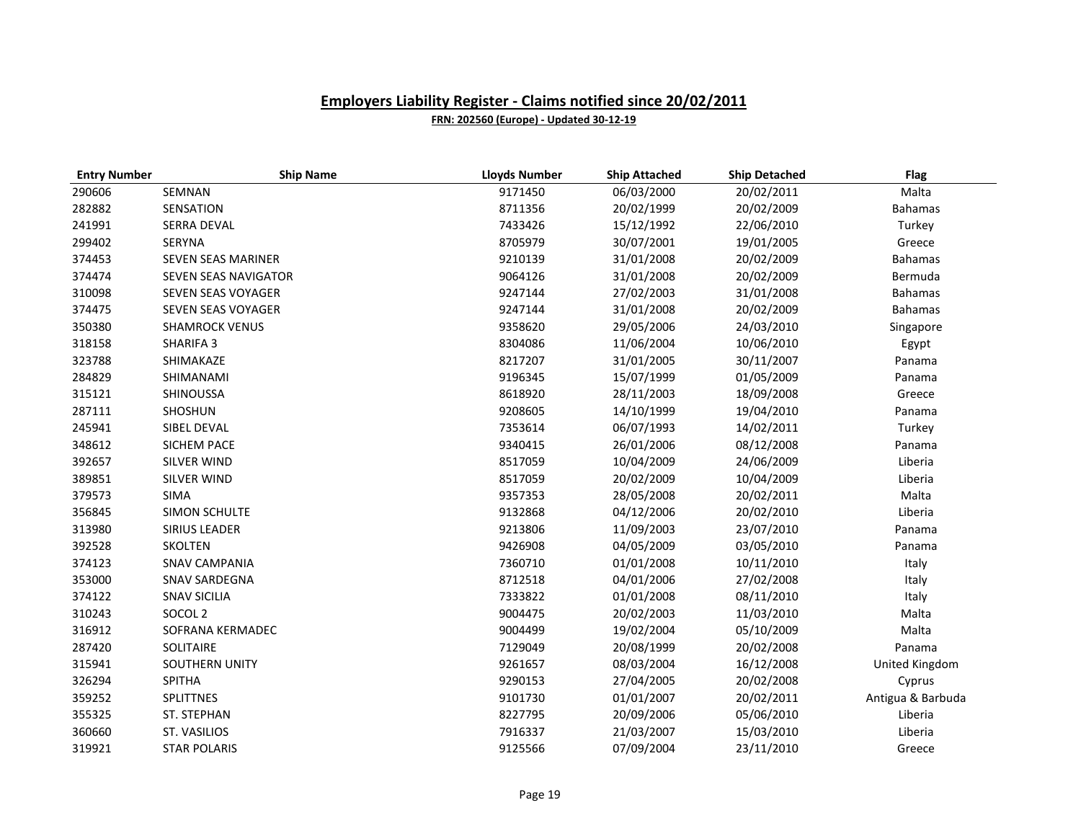| <b>Entry Number</b> | <b>Ship Name</b>      | <b>Lloyds Number</b> | <b>Ship Attached</b> | <b>Ship Detached</b> | <b>Flag</b>       |
|---------------------|-----------------------|----------------------|----------------------|----------------------|-------------------|
| 290606              | SEMNAN                | 9171450              | 06/03/2000           | 20/02/2011           | Malta             |
| 282882              | SENSATION             | 8711356              | 20/02/1999           | 20/02/2009           | <b>Bahamas</b>    |
| 241991              | SERRA DEVAL           | 7433426              | 15/12/1992           | 22/06/2010           | Turkey            |
| 299402              | <b>SERYNA</b>         | 8705979              | 30/07/2001           | 19/01/2005           | Greece            |
| 374453              | SEVEN SEAS MARINER    | 9210139              | 31/01/2008           | 20/02/2009           | Bahamas           |
| 374474              | SEVEN SEAS NAVIGATOR  | 9064126              | 31/01/2008           | 20/02/2009           | Bermuda           |
| 310098              | SEVEN SEAS VOYAGER    | 9247144              | 27/02/2003           | 31/01/2008           | <b>Bahamas</b>    |
| 374475              | SEVEN SEAS VOYAGER    | 9247144              | 31/01/2008           | 20/02/2009           | Bahamas           |
| 350380              | <b>SHAMROCK VENUS</b> | 9358620              | 29/05/2006           | 24/03/2010           | Singapore         |
| 318158              | SHARIFA 3             | 8304086              | 11/06/2004           | 10/06/2010           | Egypt             |
| 323788              | SHIMAKAZE             | 8217207              | 31/01/2005           | 30/11/2007           | Panama            |
| 284829              | SHIMANAMI             | 9196345              | 15/07/1999           | 01/05/2009           | Panama            |
| 315121              | SHINOUSSA             | 8618920              | 28/11/2003           | 18/09/2008           | Greece            |
| 287111              | SHOSHUN               | 9208605              | 14/10/1999           | 19/04/2010           | Panama            |
| 245941              | SIBEL DEVAL           | 7353614              | 06/07/1993           | 14/02/2011           | Turkey            |
| 348612              | SICHEM PACE           | 9340415              | 26/01/2006           | 08/12/2008           | Panama            |
| 392657              | <b>SILVER WIND</b>    | 8517059              | 10/04/2009           | 24/06/2009           | Liberia           |
| 389851              | <b>SILVER WIND</b>    | 8517059              | 20/02/2009           | 10/04/2009           | Liberia           |
| 379573              | SIMA                  | 9357353              | 28/05/2008           | 20/02/2011           | Malta             |
| 356845              | SIMON SCHULTE         | 9132868              | 04/12/2006           | 20/02/2010           | Liberia           |
| 313980              | SIRIUS LEADER         | 9213806              | 11/09/2003           | 23/07/2010           | Panama            |
| 392528              | <b>SKOLTEN</b>        | 9426908              | 04/05/2009           | 03/05/2010           | Panama            |
| 374123              | <b>SNAV CAMPANIA</b>  | 7360710              | 01/01/2008           | 10/11/2010           | Italy             |
| 353000              | SNAV SARDEGNA         | 8712518              | 04/01/2006           | 27/02/2008           | Italy             |
| 374122              | <b>SNAV SICILIA</b>   | 7333822              | 01/01/2008           | 08/11/2010           | Italy             |
| 310243              | SOCOL <sub>2</sub>    | 9004475              | 20/02/2003           | 11/03/2010           | Malta             |
| 316912              | SOFRANA KERMADEC      | 9004499              | 19/02/2004           | 05/10/2009           | Malta             |
| 287420              | SOLITAIRE             | 7129049              | 20/08/1999           | 20/02/2008           | Panama            |
| 315941              | SOUTHERN UNITY        | 9261657              | 08/03/2004           | 16/12/2008           | United Kingdom    |
| 326294              | SPITHA                | 9290153              | 27/04/2005           | 20/02/2008           | Cyprus            |
| 359252              | SPLITTNES             | 9101730              | 01/01/2007           | 20/02/2011           | Antigua & Barbuda |
| 355325              | ST. STEPHAN           | 8227795              | 20/09/2006           | 05/06/2010           | Liberia           |
| 360660              | <b>ST. VASILIOS</b>   | 7916337              | 21/03/2007           | 15/03/2010           | Liberia           |
| 319921              | <b>STAR POLARIS</b>   | 9125566              | 07/09/2004           | 23/11/2010           | Greece            |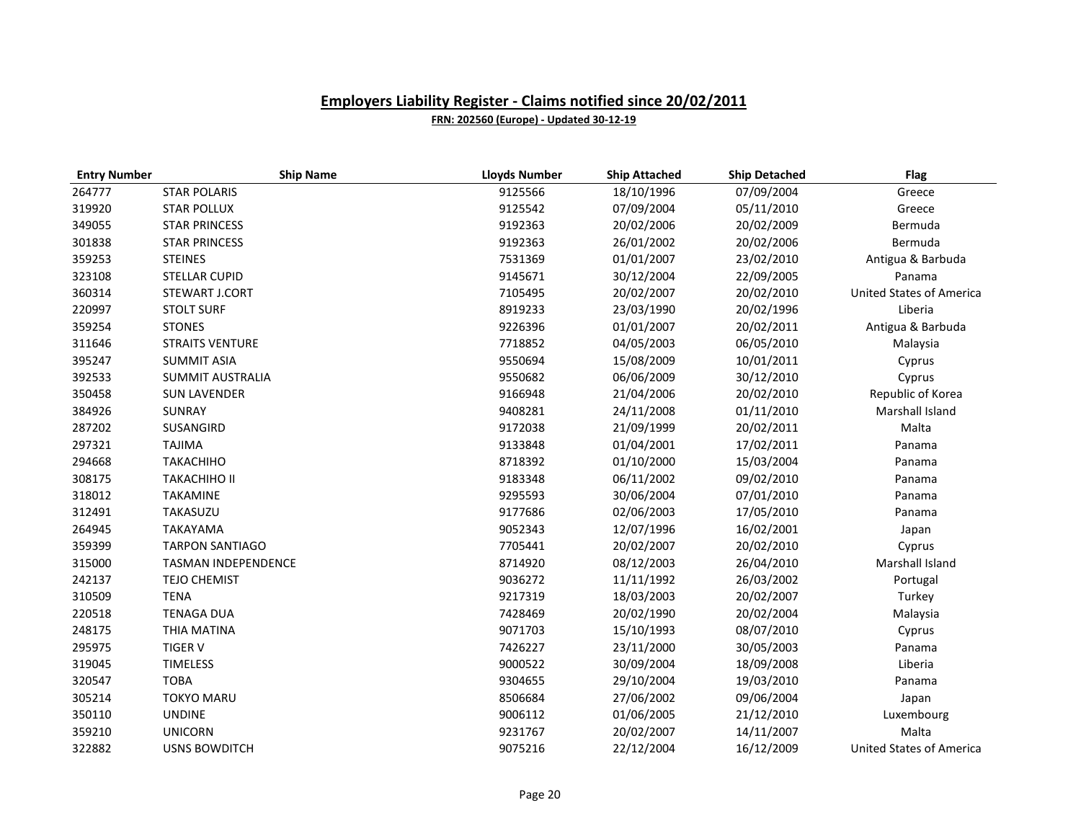| <b>Entry Number</b> | <b>Ship Name</b>           | <b>Lloyds Number</b> | <b>Ship Attached</b> | <b>Ship Detached</b> | <b>Flag</b>                     |
|---------------------|----------------------------|----------------------|----------------------|----------------------|---------------------------------|
| 264777              | <b>STAR POLARIS</b>        | 9125566              | 18/10/1996           | 07/09/2004           | Greece                          |
| 319920              | <b>STAR POLLUX</b>         | 9125542              | 07/09/2004           | 05/11/2010           | Greece                          |
| 349055              | <b>STAR PRINCESS</b>       | 9192363              | 20/02/2006           | 20/02/2009           | Bermuda                         |
| 301838              | <b>STAR PRINCESS</b>       | 9192363              | 26/01/2002           | 20/02/2006           | Bermuda                         |
| 359253              | <b>STEINES</b>             | 7531369              | 01/01/2007           | 23/02/2010           | Antigua & Barbuda               |
| 323108              | <b>STELLAR CUPID</b>       | 9145671              | 30/12/2004           | 22/09/2005           | Panama                          |
| 360314              | STEWART J.CORT             | 7105495              | 20/02/2007           | 20/02/2010           | <b>United States of America</b> |
| 220997              | <b>STOLT SURF</b>          | 8919233              | 23/03/1990           | 20/02/1996           | Liberia                         |
| 359254              | <b>STONES</b>              | 9226396              | 01/01/2007           | 20/02/2011           | Antigua & Barbuda               |
| 311646              | <b>STRAITS VENTURE</b>     | 7718852              | 04/05/2003           | 06/05/2010           | Malaysia                        |
| 395247              | <b>SUMMIT ASIA</b>         | 9550694              | 15/08/2009           | 10/01/2011           | Cyprus                          |
| 392533              | <b>SUMMIT AUSTRALIA</b>    | 9550682              | 06/06/2009           | 30/12/2010           | Cyprus                          |
| 350458              | <b>SUN LAVENDER</b>        | 9166948              | 21/04/2006           | 20/02/2010           | Republic of Korea               |
| 384926              | SUNRAY                     | 9408281              | 24/11/2008           | 01/11/2010           | Marshall Island                 |
| 287202              | SUSANGIRD                  | 9172038              | 21/09/1999           | 20/02/2011           | Malta                           |
| 297321              | <b>TAJIMA</b>              | 9133848              | 01/04/2001           | 17/02/2011           | Panama                          |
| 294668              | <b>TAKACHIHO</b>           | 8718392              | 01/10/2000           | 15/03/2004           | Panama                          |
| 308175              | <b>TAKACHIHO II</b>        | 9183348              | 06/11/2002           | 09/02/2010           | Panama                          |
| 318012              | <b>TAKAMINE</b>            | 9295593              | 30/06/2004           | 07/01/2010           | Panama                          |
| 312491              | TAKASUZU                   | 9177686              | 02/06/2003           | 17/05/2010           | Panama                          |
| 264945              | <b>TAKAYAMA</b>            | 9052343              | 12/07/1996           | 16/02/2001           | Japan                           |
| 359399              | <b>TARPON SANTIAGO</b>     | 7705441              | 20/02/2007           | 20/02/2010           | Cyprus                          |
| 315000              | <b>TASMAN INDEPENDENCE</b> | 8714920              | 08/12/2003           | 26/04/2010           | Marshall Island                 |
| 242137              | <b>TEJO CHEMIST</b>        | 9036272              | 11/11/1992           | 26/03/2002           | Portugal                        |
| 310509              | <b>TENA</b>                | 9217319              | 18/03/2003           | 20/02/2007           | Turkey                          |
| 220518              | <b>TENAGA DUA</b>          | 7428469              | 20/02/1990           | 20/02/2004           | Malaysia                        |
| 248175              | THIA MATINA                | 9071703              | 15/10/1993           | 08/07/2010           | Cyprus                          |
| 295975              | <b>TIGER V</b>             | 7426227              | 23/11/2000           | 30/05/2003           | Panama                          |
| 319045              | <b>TIMELESS</b>            | 9000522              | 30/09/2004           | 18/09/2008           | Liberia                         |
| 320547              | <b>TOBA</b>                | 9304655              | 29/10/2004           | 19/03/2010           | Panama                          |
| 305214              | <b>TOKYO MARU</b>          | 8506684              | 27/06/2002           | 09/06/2004           | Japan                           |
| 350110              | <b>UNDINE</b>              | 9006112              | 01/06/2005           | 21/12/2010           | Luxembourg                      |
| 359210              | <b>UNICORN</b>             | 9231767              | 20/02/2007           | 14/11/2007           | Malta                           |
| 322882              | <b>USNS BOWDITCH</b>       | 9075216              | 22/12/2004           | 16/12/2009           | <b>United States of America</b> |